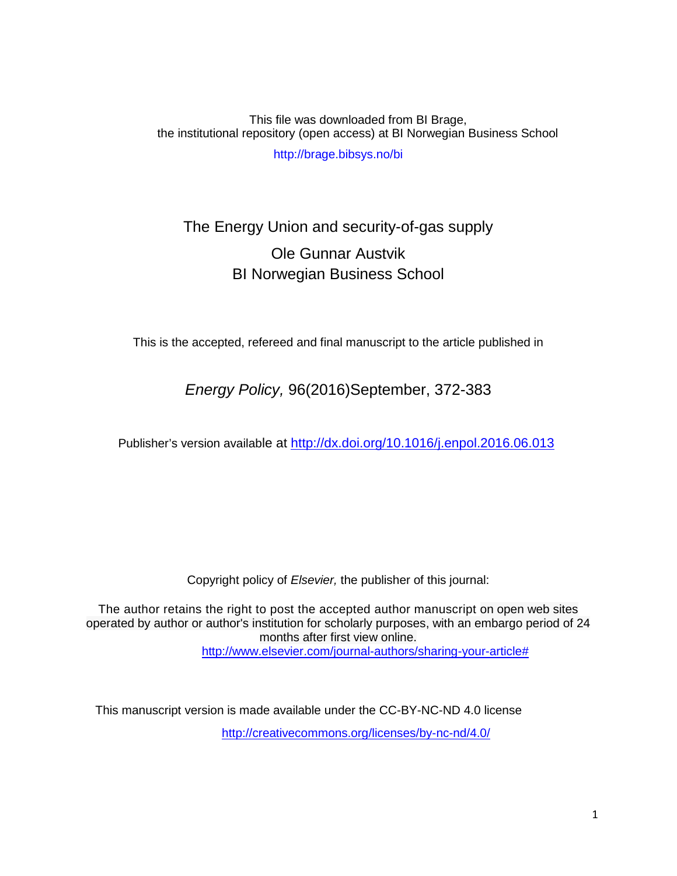This file was downloaded from BI Brage, the institutional repository (open access) at BI Norwegian Business School http://brage.bibsys.no/bi

# The Energy Union and security-of-gas supply Ole Gunnar Austvik BI Norwegian Business School

This is the accepted, refereed and final manuscript to the article published in

*Energy Policy,* 96(2016)September, 372-383

Publisher's version available at <http://dx.doi.org/10.1016/j.enpol.2016.06.013>

Copyright policy of *Elsevier,* the publisher of this journal:

The author retains the right to post the accepted author manuscript on open web sites operated by author or author's institution for scholarly purposes, with an embargo period of 24 months after first view online. [http://www.elsevier.com/journal-authors/sharing-your-article#](http://www.elsevier.com/journal-authors/sharing-your-article)

This manuscript version is made available under the CC-BY-NC-ND 4.0 license <http://creativecommons.org/licenses/by-nc-nd/4.0/>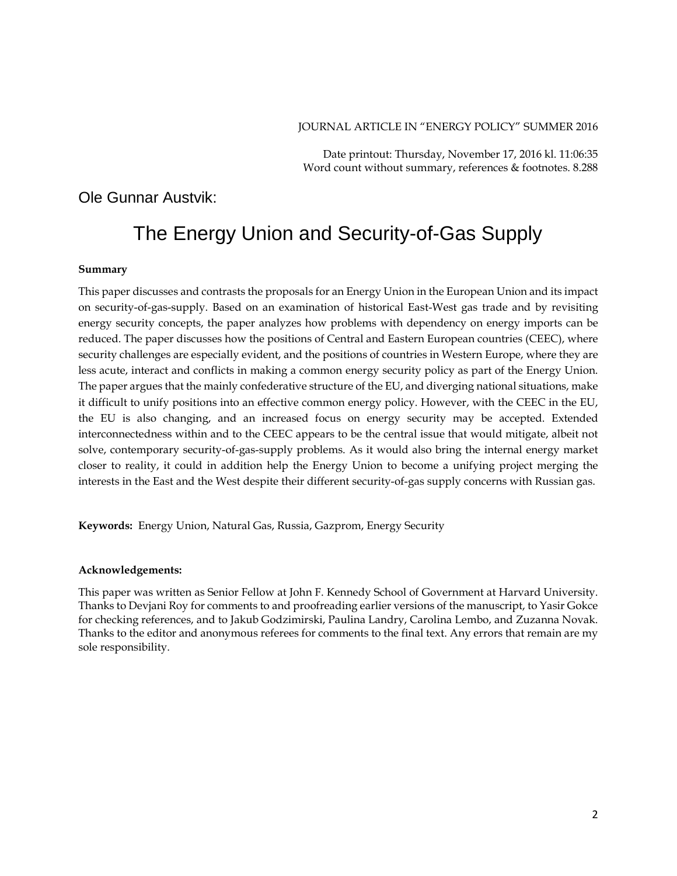### JOURNAL ARTICLE IN "ENERGY POLICY" SUMMER 2016

Date printout: Thursday, November 17, 2016 kl. 11:06:35 Word count without summary, references & footnotes. 8.288

# Ole Gunnar Austvik:

# The Energy Union and Security-of-Gas Supply

#### **Summary**

This paper discusses and contrasts the proposals for an Energy Union in the European Union and its impact on security-of-gas-supply. Based on an examination of historical East-West gas trade and by revisiting energy security concepts, the paper analyzes how problems with dependency on energy imports can be reduced. The paper discusses how the positions of Central and Eastern European countries (CEEC), where security challenges are especially evident, and the positions of countries in Western Europe, where they are less acute, interact and conflicts in making a common energy security policy as part of the Energy Union. The paper argues that the mainly confederative structure of the EU, and diverging national situations, make it difficult to unify positions into an effective common energy policy. However, with the CEEC in the EU, the EU is also changing, and an increased focus on energy security may be accepted. Extended interconnectedness within and to the CEEC appears to be the central issue that would mitigate, albeit not solve, contemporary security-of-gas-supply problems. As it would also bring the internal energy market closer to reality, it could in addition help the Energy Union to become a unifying project merging the interests in the East and the West despite their different security-of-gas supply concerns with Russian gas.

**Keywords:** Energy Union, Natural Gas, Russia, Gazprom, Energy Security

#### **Acknowledgements:**

This paper was written as Senior Fellow at John F. Kennedy School of Government at Harvard University. Thanks to Devjani Roy for comments to and proofreading earlier versions of the manuscript, to Yasir Gokce for checking references, and to Jakub Godzimirski, Paulina Landry, Carolina Lembo, and Zuzanna Novak. Thanks to the editor and anonymous referees for comments to the final text. Any errors that remain are my sole responsibility.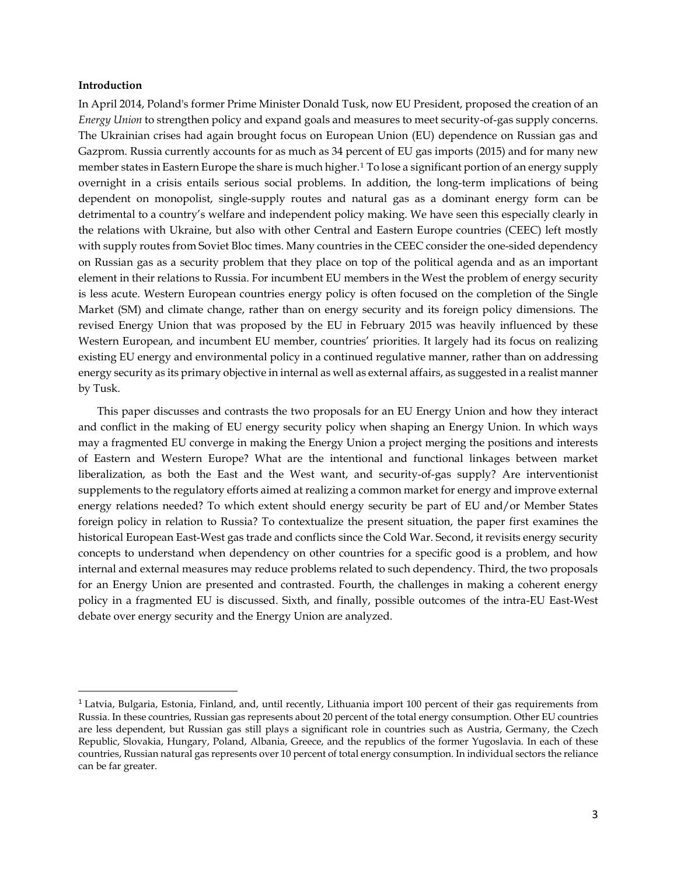# **Introduction**

 $\overline{a}$ 

In April 2014, Poland's former Prime Minister Donald Tusk, now EU President, proposed the creation of an *Energy Union* to strengthen policy and expand goals and measures to meet security-of-gas supply concerns. The Ukrainian crises had again brought focus on European Union (EU) dependence on Russian gas and Gazprom. Russia currently accounts for as much as 34 percent of EU gas imports (2015) and for many new member states in Eastern Europe the share is much higher.[1](#page-2-0) To lose a significant portion of an energy supply overnight in a crisis entails serious social problems. In addition, the long-term implications of being dependent on monopolist, single-supply routes and natural gas as a dominant energy form can be detrimental to a country's welfare and independent policy making. We have seen this especially clearly in the relations with Ukraine, but also with other Central and Eastern Europe countries (CEEC) left mostly with supply routes from Soviet Bloc times. Many countries in the CEEC consider the one-sided dependency on Russian gas as a security problem that they place on top of the political agenda and as an important element in their relations to Russia. For incumbent EU members in the West the problem of energy security is less acute. Western European countries energy policy is often focused on the completion of the Single Market (SM) and climate change, rather than on energy security and its foreign policy dimensions. The revised Energy Union that was proposed by the EU in February 2015 was heavily influenced by these Western European, and incumbent EU member, countries' priorities. It largely had its focus on realizing existing EU energy and environmental policy in a continued regulative manner, rather than on addressing energy security as its primary objective in internal as well as external affairs, as suggested in a realist manner by Tusk.

This paper discusses and contrasts the two proposals for an EU Energy Union and how they interact and conflict in the making of EU energy security policy when shaping an Energy Union. In which ways may a fragmented EU converge in making the Energy Union a project merging the positions and interests of Eastern and Western Europe? What are the intentional and functional linkages between market liberalization, as both the East and the West want, and security-of-gas supply? Are interventionist supplements to the regulatory efforts aimed at realizing a common market for energy and improve external energy relations needed? To which extent should energy security be part of EU and/or Member States foreign policy in relation to Russia? To contextualize the present situation, the paper first examines the historical European East-West gas trade and conflicts since the Cold War. Second, it revisits energy security concepts to understand when dependency on other countries for a specific good is a problem, and how internal and external measures may reduce problems related to such dependency. Third, the two proposals for an Energy Union are presented and contrasted. Fourth, the challenges in making a coherent energy policy in a fragmented EU is discussed. Sixth, and finally, possible outcomes of the intra-EU East-West debate over energy security and the Energy Union are analyzed.

<span id="page-2-0"></span><sup>&</sup>lt;sup>1</sup> Latvia, Bulgaria, Estonia, Finland, and, until recently, Lithuania import 100 percent of their gas requirements from Russia. In these countries, Russian gas represents about 20 percent of the total energy consumption. Other EU countries are less dependent, but Russian gas still plays a significant role in countries such as Austria, Germany, the Czech Republic, Slovakia, Hungary, Poland, Albania, Greece, and the republics of the former Yugoslavia. In each of these countries, Russian natural gas represents over 10 percent of total energy consumption. In individual sectors the reliance can be far greater.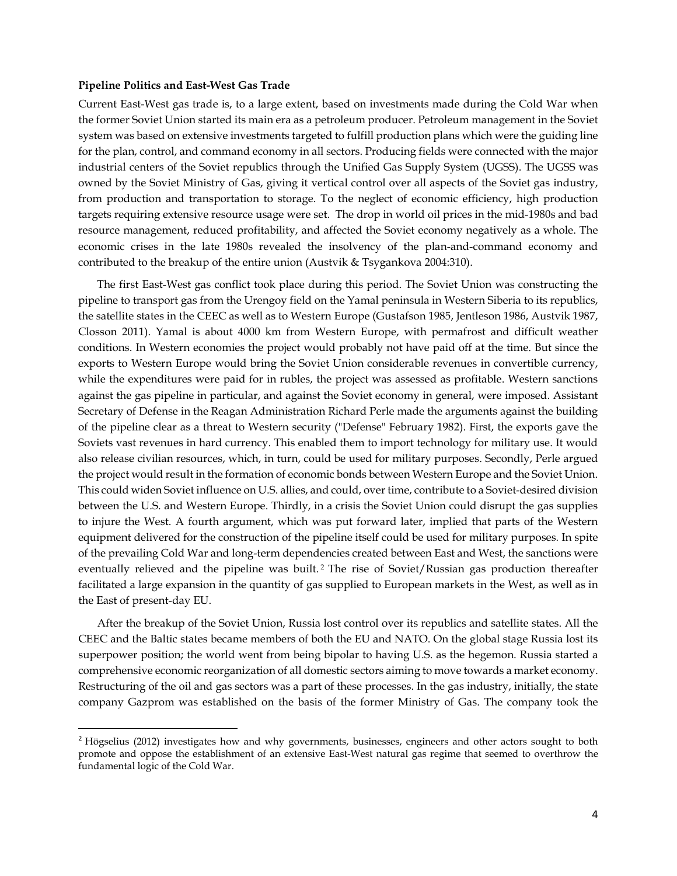#### **Pipeline Politics and East-West Gas Trade**

 $\ddot{\phantom{a}}$ 

Current East-West gas trade is, to a large extent, based on investments made during the Cold War when the former Soviet Union started its main era as a petroleum producer. Petroleum management in the Soviet system was based on extensive investments targeted to fulfill production plans which were the guiding line for the plan, control, and command economy in all sectors. Producing fields were connected with the major industrial centers of the Soviet republics through the Unified Gas Supply System (UGSS). The UGSS was owned by the Soviet Ministry of Gas, giving it vertical control over all aspects of the Soviet gas industry, from production and transportation to storage. To the neglect of economic efficiency, high production targets requiring extensive resource usage were set. The drop in world oil prices in the mid-1980s and bad resource management, reduced profitability, and affected the Soviet economy negatively as a whole. The economic crises in the late 1980s revealed the insolvency of the plan-and-command economy and contributed to the breakup of the entire union (Austvik & Tsygankova 2004:310).

The first East-West gas conflict took place during this period. The Soviet Union was constructing the pipeline to transport gas from the Urengoy field on the Yamal peninsula in Western Siberia to its republics, the satellite states in the CEEC as well as to Western Europe (Gustafson 1985, Jentleson 1986, Austvik 1987, Closson 2011). Yamal is about 4000 km from Western Europe, with permafrost and difficult weather conditions. In Western economies the project would probably not have paid off at the time. But since the exports to Western Europe would bring the Soviet Union considerable revenues in convertible currency, while the expenditures were paid for in rubles, the project was assessed as profitable. Western sanctions against the gas pipeline in particular, and against the Soviet economy in general, were imposed. Assistant Secretary of Defense in the Reagan Administration Richard Perle made the arguments against the building of the pipeline clear as a threat to Western security ("Defense" February 1982). First, the exports gave the Soviets vast revenues in hard currency. This enabled them to import technology for military use. It would also release civilian resources, which, in turn, could be used for military purposes. Secondly, Perle argued the project would result in the formation of economic bonds between Western Europe and the Soviet Union. This could widen Soviet influence on U.S. allies, and could, over time, contribute to a Soviet-desired division between the U.S. and Western Europe. Thirdly, in a crisis the Soviet Union could disrupt the gas supplies to injure the West. A fourth argument, which was put forward later, implied that parts of the Western equipment delivered for the construction of the pipeline itself could be used for military purposes*.* In spite of the prevailing Cold War and long-term dependencies created between East and West, the sanctions were eventually relieved and the pipeline was built.<sup>[2](#page-3-0)</sup> The rise of Soviet/Russian gas production thereafter facilitated a large expansion in the quantity of gas supplied to European markets in the West, as well as in the East of present-day EU.

After the breakup of the Soviet Union, Russia lost control over its republics and satellite states. All the CEEC and the Baltic states became members of both the EU and NATO. On the global stage Russia lost its superpower position; the world went from being bipolar to having U.S. as the hegemon. Russia started a comprehensive economic reorganization of all domestic sectors aiming to move towards a market economy. Restructuring of the oil and gas sectors was a part of these processes. In the gas industry, initially, the state company Gazprom was established on the basis of the former Ministry of Gas. The company took the

<span id="page-3-0"></span><sup>&</sup>lt;sup>2</sup> Högselius (2012) investigates how and why governments, businesses, engineers and other actors sought to both promote and oppose the establishment of an extensive East-West natural gas regime that seemed to overthrow the fundamental logic of the Cold War.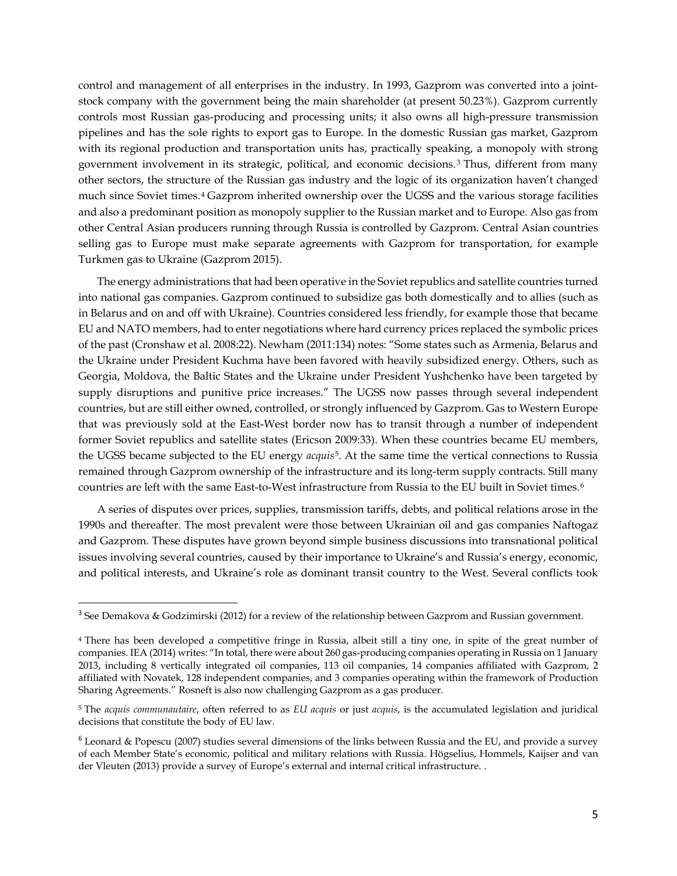control and management of all enterprises in the industry. In 1993, Gazprom was converted into a jointstock company with the government being the main shareholder (at present 50.23%). Gazprom currently controls most Russian gas-producing and processing units; it also owns all high-pressure transmission pipelines and has the sole rights to export gas to Europe. In the domestic Russian gas market, Gazprom with its regional production and transportation units has, practically speaking, a monopoly with strong government involvement in its strategic, political, and economic decisions. [3](#page-4-0) Thus, different from many other sectors, the structure of the Russian gas industry and the logic of its organization haven't changed much since Soviet times.[4](#page-4-1) Gazprom inherited ownership over the UGSS and the various storage facilities and also a predominant position as monopoly supplier to the Russian market and to Europe. Also gas from other Central Asian producers running through Russia is controlled by Gazprom. Central Asian countries selling gas to Europe must make separate agreements with Gazprom for transportation, for example Turkmen gas to Ukraine (Gazprom 2015).

The energy administrations that had been operative in the Soviet republics and satellite countries turned into national gas companies. Gazprom continued to subsidize gas both domestically and to allies (such as in Belarus and on and off with Ukraine). Countries considered less friendly, for example those that became EU and NATO members, had to enter negotiations where hard currency prices replaced the symbolic prices of the past (Cronshaw et al. 2008:22). Newham (2011:134) notes: "Some states such as Armenia, Belarus and the Ukraine under President Kuchma have been favored with heavily subsidized energy. Others, such as Georgia, Moldova, the Baltic States and the Ukraine under President Yushchenko have been targeted by supply disruptions and punitive price increases." The UGSS now passes through several independent countries, but are still either owned, controlled, or strongly influenced by Gazprom. Gas to Western Europe that was previously sold at the East-West border now has to transit through a number of independent former Soviet republics and satellite states (Ericson 2009:33). When these countries became EU members, the UGSS became subjected to the EU energy *acquis*[5](#page-4-2). At the same time the vertical connections to Russia remained through Gazprom ownership of the infrastructure and its long-term supply contracts. Still many countries are left with the same East-to-West infrastructure from Russia to the EU built in Soviet times.[6](#page-4-3)

A series of disputes over prices, supplies, transmission tariffs, debts, and political relations arose in the 1990s and thereafter. The most prevalent were those between Ukrainian oil and gas companies Naftogaz and Gazprom. These disputes have grown beyond simple business discussions into transnational political issues involving several countries, caused by their importance to Ukraine's and Russia's energy, economic, and political interests, and Ukraine's role as dominant transit country to the West. Several conflicts took

<span id="page-4-0"></span><sup>&</sup>lt;sup>3</sup> See Demakova & Godzimirski (2012) for a review of the relationship between Gazprom and Russian government.

<span id="page-4-1"></span><sup>4</sup> There has been developed a competitive fringe in Russia, albeit still a tiny one, in spite of the great number of companies. IEA (2014) writes: "In total, there were about 260 gas-producing companies operating in Russia on 1 January 2013, including 8 vertically integrated oil companies, 113 oil companies, 14 companies affiliated with Gazprom, 2 affiliated with Novatek, 128 independent companies, and 3 companies operating within the framework of Production Sharing Agreements." Rosneft is also now challenging Gazprom as a gas producer.

<span id="page-4-2"></span><sup>5</sup> The *acquis communautaire*, often referred to as *EU acquis* or just *acquis*, is the accumulated legislation and juridical decisions that constitute the body of EU law.

<span id="page-4-3"></span> $6$  Leonard & Popescu (2007) studies several dimensions of the links between Russia and the EU, and provide a survey of each Member State's economic, political and military relations with Russia. Högselius, Hommels, Kaijser and van der Vleuten (2013) provide a survey of Europe's external and internal critical infrastructure. .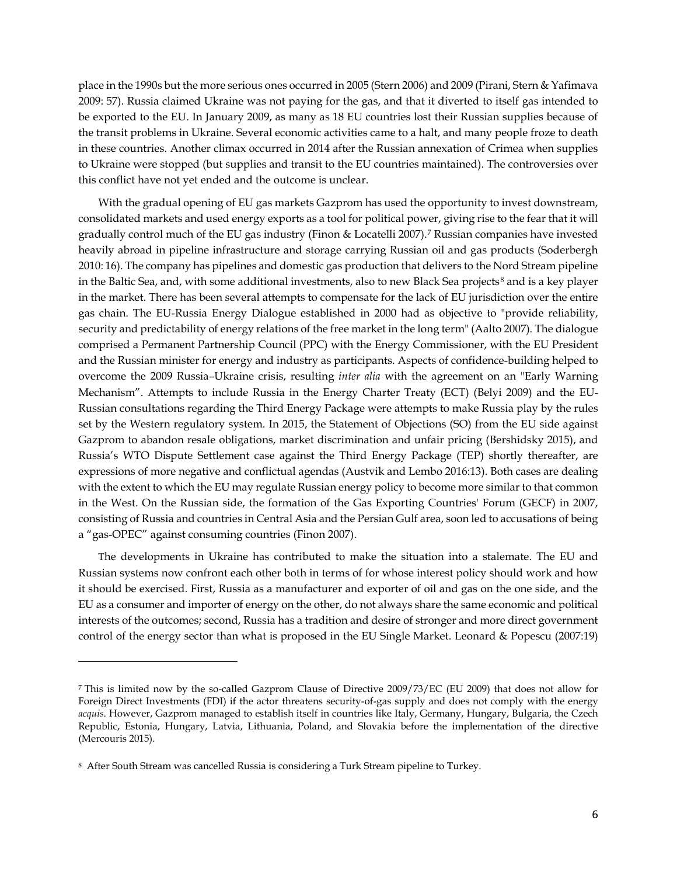place in the 1990s but the more serious ones occurred in 2005 (Stern 2006) and 2009 (Pirani, Stern & Yafimava 2009: 57). Russia claimed Ukraine was not paying for the gas, and that it diverted to itself gas intended to be exported to the EU. In January 2009, as many as 18 EU countries lost their Russian supplies because of the transit problems in Ukraine. Several economic activities came to a halt, and many people froze to death in these countries. Another climax occurred in 2014 after the Russian annexation of Crimea when supplies to Ukraine were stopped (but supplies and transit to the EU countries maintained). The controversies over this conflict have not yet ended and the outcome is unclear.

With the gradual opening of EU gas markets Gazprom has used the opportunity to invest downstream, consolidated markets and used energy exports as a tool for political power, giving rise to the fear that it will gradually control much of the EU gas industry (Finon & Locatelli 2007).[7](#page-5-0) Russian companies have invested heavily abroad in pipeline infrastructure and storage carrying Russian oil and gas products (Soderbergh 2010: 16). The company has pipelines and domestic gas production that delivers to the Nord Stream pipeline in the Baltic Sea, and, with some additional investments, also to new Black Sea projects<sup>[8](#page-5-1)</sup> and is a key player in the market. There has been several attempts to compensate for the lack of EU jurisdiction over the entire gas chain. The EU-Russia Energy Dialogue established in 2000 had as objective to "provide reliability, security and predictability of energy relations of the free market in the long term" (Aalto 2007). The dialogue comprised a Permanent Partnership Council (PPC) with the Energy Commissioner, with the EU President and the Russian minister for energy and industry as participants. Aspects of confidence-building helped to overcome the 2009 Russia–Ukraine crisis, resulting *inter alia* with the agreement on an "Early Warning Mechanism". Attempts to include Russia in the Energy Charter Treaty (ECT) (Belyi 2009) and the EU-Russian consultations regarding the Third Energy Package were attempts to make Russia play by the rules set by the Western regulatory system. In 2015, the Statement of Objections (SO) from the EU side against Gazprom to abandon resale obligations, market discrimination and unfair pricing (Bershidsky 2015), and Russia's WTO Dispute Settlement case against the Third Energy Package (TEP) shortly thereafter, are expressions of more negative and conflictual agendas (Austvik and Lembo 2016:13). Both cases are dealing with the extent to which the EU may regulate Russian energy policy to become more similar to that common in the West. On the Russian side, the formation of the Gas Exporting Countries' Forum (GECF) in 2007, consisting of Russia and countries in Central Asia and the Persian Gulf area, soon led to accusations of being a "gas-OPEC" against consuming countries (Finon 2007).

The developments in Ukraine has contributed to make the situation into a stalemate. The EU and Russian systems now confront each other both in terms of for whose interest policy should work and how it should be exercised. First, Russia as a manufacturer and exporter of oil and gas on the one side, and the EU as a consumer and importer of energy on the other, do not always share the same economic and political interests of the outcomes; second, Russia has a tradition and desire of stronger and more direct government control of the energy sector than what is proposed in the EU Single Market. Leonard & Popescu (2007:19)

<span id="page-5-0"></span><sup>7</sup> This is limited now by the so-called Gazprom Clause of Directive 2009/73/EC (EU 2009) that does not allow for Foreign Direct Investments (FDI) if the actor threatens security-of-gas supply and does not comply with the energy *acquis*. However, Gazprom managed to establish itself in countries like Italy, Germany, Hungary, Bulgaria, the Czech Republic, Estonia, Hungary, Latvia, Lithuania, Poland, and Slovakia before the implementation of the directive (Mercouris 2015).

<span id="page-5-1"></span><sup>8</sup> After South Stream was cancelled Russia is considering a Turk Stream pipeline to Turkey.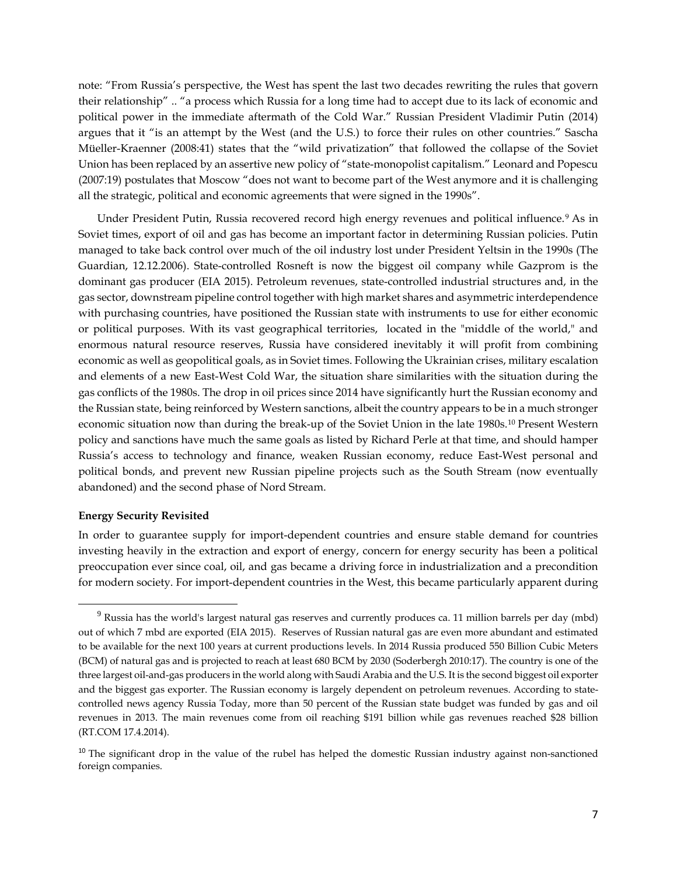note: "From Russia's perspective, the West has spent the last two decades rewriting the rules that govern their relationship" .. "a process which Russia for a long time had to accept due to its lack of economic and political power in the immediate aftermath of the Cold War." Russian President Vladimir Putin (2014) argues that it "is an attempt by the West (and the U.S.) to force their rules on other countries." Sascha Müeller-Kraenner (2008:41) states that the "wild privatization" that followed the collapse of the Soviet Union has been replaced by an assertive new policy of "state-monopolist capitalism." Leonard and Popescu (2007:19) postulates that Moscow "does not want to become part of the West anymore and it is challenging all the strategic, political and economic agreements that were signed in the 1990s".

Under President Putin, Russia recovered record high energy revenues and political influence.<sup>[9](#page-6-0)</sup> As in Soviet times, export of oil and gas has become an important factor in determining Russian policies. Putin managed to take back control over much of the oil industry lost under President Yeltsin in the 1990s (The Guardian, 12.12.2006). State-controlled Rosneft is now the biggest oil company while Gazprom is the dominant gas producer (EIA 2015). Petroleum revenues, state-controlled industrial structures and, in the gas sector, downstream pipeline control together with high market shares and asymmetric interdependence with purchasing countries, have positioned the Russian state with instruments to use for either economic or political purposes. With its vast geographical territories, located in the "middle of the world," and enormous natural resource reserves, Russia have considered inevitably it will profit from combining economic as well as geopolitical goals, as in Soviet times. Following the Ukrainian crises, military escalation and elements of a new East-West Cold War, the situation share similarities with the situation during the gas conflicts of the 1980s. The drop in oil prices since 2014 have significantly hurt the Russian economy and the Russian state, being reinforced by Western sanctions, albeit the country appears to be in a much stronger economic situation now than during the break-up of the Soviet Union in the late 1980s.[10](#page-6-1) Present Western policy and sanctions have much the same goals as listed by Richard Perle at that time, and should hamper Russia's access to technology and finance, weaken Russian economy, reduce East-West personal and political bonds, and prevent new Russian pipeline projects such as the South Stream (now eventually abandoned) and the second phase of Nord Stream.

#### **Energy Security Revisited**

In order to guarantee supply for import-dependent countries and ensure stable demand for countries investing heavily in the extraction and export of energy, concern for energy security has been a political preoccupation ever since coal, oil, and gas became a driving force in industrialization and a precondition for modern society. For import-dependent countries in the West, this became particularly apparent during

<span id="page-6-0"></span> $9$  Russia has the world's largest natural gas reserves and currently produces ca. 11 million barrels per day (mbd) out of which 7 mbd are exported (EIA 2015). Reserves of Russian natural gas are even more abundant and estimated to be available for the next 100 years at current productions levels. In 2014 Russia produced 550 Billion Cubic Meters (BCM) of natural gas and is projected to reach at least 680 BCM by 2030 (Soderbergh 2010:17). The country is one of the three largest oil-and-gas producers in the world along with Saudi Arabia and the U.S. It is the second biggest oil exporter and the biggest gas exporter. The Russian economy is largely dependent on petroleum revenues. According to statecontrolled news agency Russia Today, more than 50 percent of the Russian state budget was funded by gas and oil revenues in 2013. The main revenues come from oil reaching \$191 billion while gas revenues reached \$28 billion (RT.COM 17.4.2014).

<span id="page-6-1"></span><sup>&</sup>lt;sup>10</sup> The significant drop in the value of the rubel has helped the domestic Russian industry against non-sanctioned foreign companies.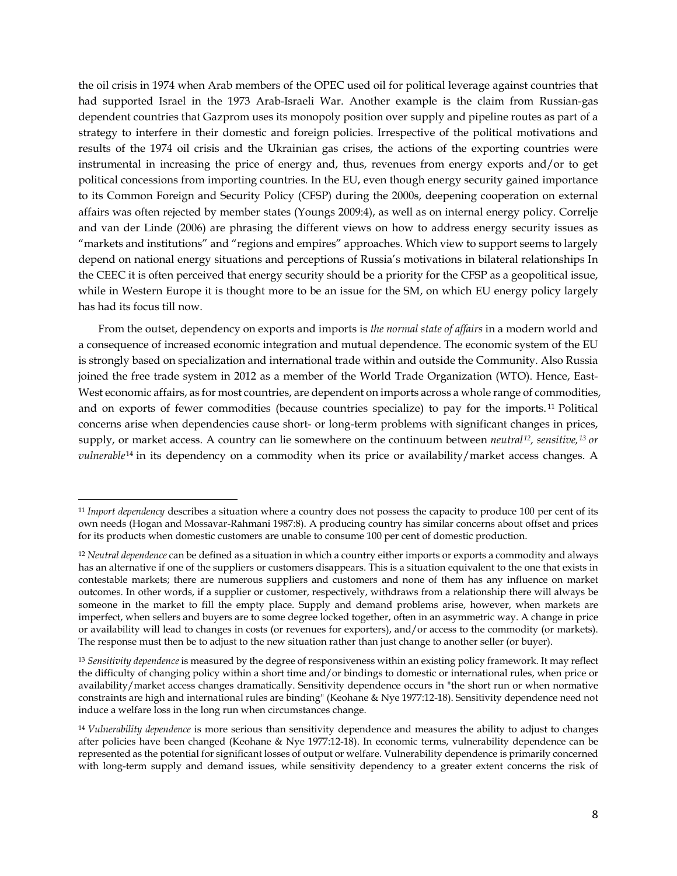the oil crisis in 1974 when Arab members of the OPEC used oil for political leverage against countries that had supported Israel in the 1973 Arab-Israeli War. Another example is the claim from Russian-gas dependent countries that Gazprom uses its monopoly position over supply and pipeline routes as part of a strategy to interfere in their domestic and foreign policies. Irrespective of the political motivations and results of the 1974 oil crisis and the Ukrainian gas crises, the actions of the exporting countries were instrumental in increasing the price of energy and, thus, revenues from energy exports and/or to get political concessions from importing countries. In the EU, even though energy security gained importance to its Common Foreign and Security Policy (CFSP) during the 2000s, deepening cooperation on external affairs was often rejected by member states (Youngs 2009:4), as well as on internal energy policy. Correlje and van der Linde (2006) are phrasing the different views on how to address energy security issues as "markets and institutions" and "regions and empires" approaches. Which view to support seems to largely depend on national energy situations and perceptions of Russia's motivations in bilateral relationships In the CEEC it is often perceived that energy security should be a priority for the CFSP as a geopolitical issue, while in Western Europe it is thought more to be an issue for the SM, on which EU energy policy largely has had its focus till now.

From the outset, dependency on exports and imports is *the normal state of affairs* in a modern world and a consequence of increased economic integration and mutual dependence. The economic system of the EU is strongly based on specialization and international trade within and outside the Community. Also Russia joined the free trade system in 2012 as a member of the World Trade Organization (WTO). Hence, East-West economic affairs, as for most countries, are dependent on imports across a whole range of commodities, and on exports of fewer commodities (because countries specialize) to pay for the imports. [11](#page-7-0) Political concerns arise when dependencies cause short- or long-term problems with significant changes in prices, supply, or market access. A country can lie somewhere on the continuum between *neutral[12](#page-7-1), sensitive,[13](#page-7-2) or vulnerable*<sup>[14](#page-7-3)</sup> in its dependency on a commodity when its price or availability/market access changes. A

<span id="page-7-0"></span><sup>11</sup> *Import dependency* describes a situation where a country does not possess the capacity to produce 100 per cent of its own needs (Hogan and Mossavar-Rahmani 1987:8). A producing country has similar concerns about offset and prices for its products when domestic customers are unable to consume 100 per cent of domestic production.

<span id="page-7-1"></span><sup>12</sup> *Neutral dependence* can be defined as a situation in which a country either imports or exports a commodity and always has an alternative if one of the suppliers or customers disappears. This is a situation equivalent to the one that exists in contestable markets; there are numerous suppliers and customers and none of them has any influence on market outcomes. In other words, if a supplier or customer, respectively, withdraws from a relationship there will always be someone in the market to fill the empty place. Supply and demand problems arise, however, when markets are imperfect, when sellers and buyers are to some degree locked together, often in an asymmetric way. A change in price or availability will lead to changes in costs (or revenues for exporters), and/or access to the commodity (or markets). The response must then be to adjust to the new situation rather than just change to another seller (or buyer).

<span id="page-7-2"></span><sup>13</sup> *Sensitivity dependence* is measured by the degree of responsiveness within an existing policy framework. It may reflect the difficulty of changing policy within a short time and/or bindings to domestic or international rules, when price or availability/market access changes dramatically. Sensitivity dependence occurs in "the short run or when normative constraints are high and international rules are binding" (Keohane & Nye 1977:12-18). Sensitivity dependence need not induce a welfare loss in the long run when circumstances change.

<span id="page-7-3"></span><sup>14</sup> *Vulnerability dependence* is more serious than sensitivity dependence and measures the ability to adjust to changes after policies have been changed (Keohane & Nye 1977:12-18). In economic terms, vulnerability dependence can be represented as the potential for significant losses of output or welfare. Vulnerability dependence is primarily concerned with long-term supply and demand issues, while sensitivity dependency to a greater extent concerns the risk of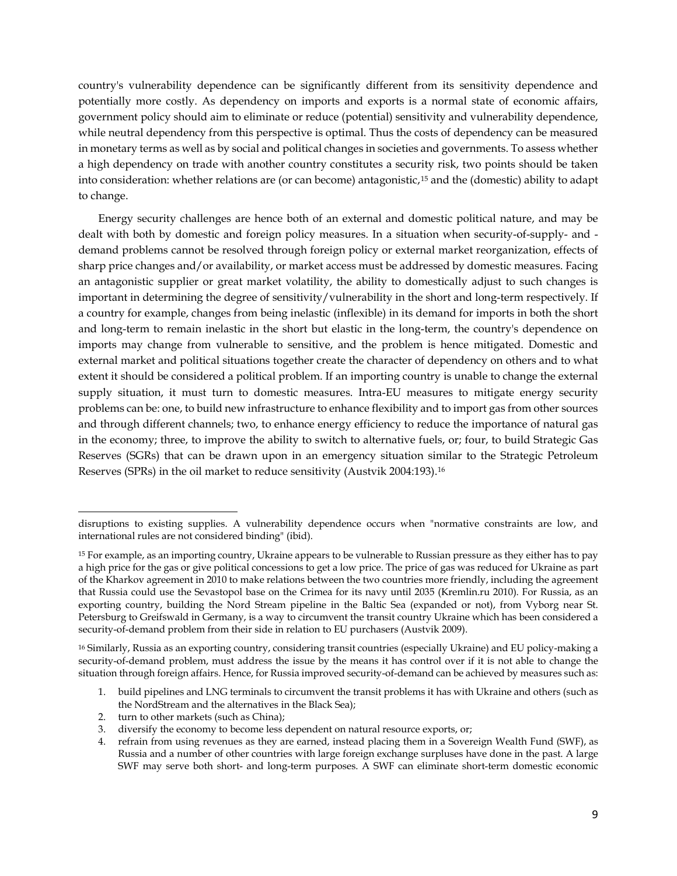country's vulnerability dependence can be significantly different from its sensitivity dependence and potentially more costly. As dependency on imports and exports is a normal state of economic affairs, government policy should aim to eliminate or reduce (potential) sensitivity and vulnerability dependence, while neutral dependency from this perspective is optimal. Thus the costs of dependency can be measured in monetary terms as well as by social and political changes in societies and governments. To assess whether a high dependency on trade with another country constitutes a security risk, two points should be taken into consideration: whether relations are (or can become) antagonistic,[15](#page-8-0) and the (domestic) ability to adapt to change.

Energy security challenges are hence both of an external and domestic political nature, and may be dealt with both by domestic and foreign policy measures. In a situation when security-of-supply- and demand problems cannot be resolved through foreign policy or external market reorganization, effects of sharp price changes and/or availability, or market access must be addressed by domestic measures. Facing an antagonistic supplier or great market volatility, the ability to domestically adjust to such changes is important in determining the degree of sensitivity/vulnerability in the short and long-term respectively. If a country for example, changes from being inelastic (inflexible) in its demand for imports in both the short and long-term to remain inelastic in the short but elastic in the long-term, the country's dependence on imports may change from vulnerable to sensitive, and the problem is hence mitigated. Domestic and external market and political situations together create the character of dependency on others and to what extent it should be considered a political problem. If an importing country is unable to change the external supply situation, it must turn to domestic measures. Intra-EU measures to mitigate energy security problems can be: one, to build new infrastructure to enhance flexibility and to import gas from other sources and through different channels; two, to enhance energy efficiency to reduce the importance of natural gas in the economy; three, to improve the ability to switch to alternative fuels, or; four, to build Strategic Gas Reserves (SGRs) that can be drawn upon in an emergency situation similar to the Strategic Petroleum Reserves (SPRs) in the oil market to reduce sensitivity (Austvik 2004:193).[16](#page-8-1) 

disruptions to existing supplies. A vulnerability dependence occurs when "normative constraints are low, and international rules are not considered binding" (ibid).

<span id="page-8-0"></span><sup>15</sup> For example, as an importing country, Ukraine appears to be vulnerable to Russian pressure as they either has to pay a high price for the gas or give political concessions to get a low price. The price of gas was reduced for Ukraine as part of the Kharkov agreement in 2010 to make relations between the two countries more friendly, including the agreement that Russia could use the Sevastopol base on the Crimea for its navy until 2035 (Kremlin.ru 2010). For Russia, as an exporting country, building the Nord Stream pipeline in the Baltic Sea (expanded or not), from Vyborg near St. Petersburg to Greifswald in Germany, is a way to circumvent the transit country Ukraine which has been considered a security-of-demand problem from their side in relation to EU purchasers (Austvik 2009).

<span id="page-8-1"></span><sup>16</sup> Similarly, Russia as an exporting country, considering transit countries (especially Ukraine) and EU policy-making a security-of-demand problem, must address the issue by the means it has control over if it is not able to change the situation through foreign affairs. Hence, for Russia improved security-of-demand can be achieved by measures such as:

<sup>1.</sup> build pipelines and LNG terminals to circumvent the transit problems it has with Ukraine and others (such as the NordStream and the alternatives in the Black Sea);

<sup>2.</sup> turn to other markets (such as China);

<sup>3.</sup> diversify the economy to become less dependent on natural resource exports, or;

<sup>4.</sup> refrain from using revenues as they are earned, instead placing them in a Sovereign Wealth Fund (SWF), as Russia and a number of other countries with large foreign exchange surpluses have done in the past. A large SWF may serve both short- and long-term purposes. A SWF can eliminate short-term domestic economic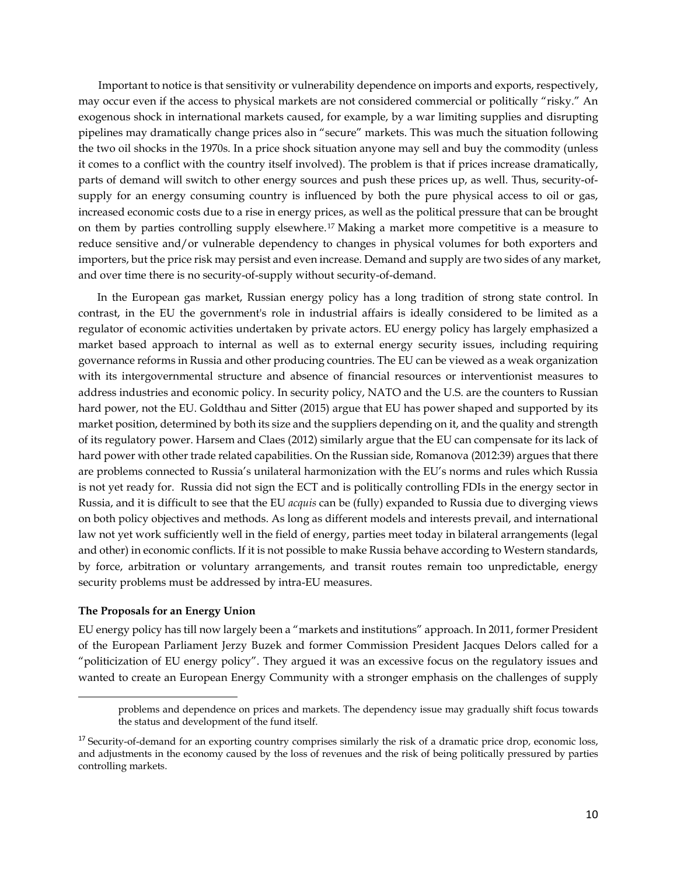Important to notice is that sensitivity or vulnerability dependence on imports and exports, respectively, may occur even if the access to physical markets are not considered commercial or politically "risky." An exogenous shock in international markets caused, for example, by a war limiting supplies and disrupting pipelines may dramatically change prices also in "secure" markets. This was much the situation following the two oil shocks in the 1970s. In a price shock situation anyone may sell and buy the commodity (unless it comes to a conflict with the country itself involved). The problem is that if prices increase dramatically, parts of demand will switch to other energy sources and push these prices up, as well. Thus, security-ofsupply for an energy consuming country is influenced by both the pure physical access to oil or gas, increased economic costs due to a rise in energy prices, as well as the political pressure that can be brought on them by parties controlling supply elsewhere.[17](#page-9-0) Making a market more competitive is a measure to reduce sensitive and/or vulnerable dependency to changes in physical volumes for both exporters and importers, but the price risk may persist and even increase. Demand and supply are two sides of any market, and over time there is no security-of-supply without security-of-demand.

In the European gas market, Russian energy policy has a long tradition of strong state control. In contrast, in the EU the government's role in industrial affairs is ideally considered to be limited as a regulator of economic activities undertaken by private actors. EU energy policy has largely emphasized a market based approach to internal as well as to external energy security issues, including requiring governance reforms in Russia and other producing countries. The EU can be viewed as a weak organization with its intergovernmental structure and absence of financial resources or interventionist measures to address industries and economic policy. In security policy, NATO and the U.S. are the counters to Russian hard power, not the EU. Goldthau and Sitter (2015) argue that EU has power shaped and supported by its market position, determined by both its size and the suppliers depending on it, and the quality and strength of its regulatory power. Harsem and Claes (2012) similarly argue that the EU can compensate for its lack of hard power with other trade related capabilities. On the Russian side, Romanova (2012:39) argues that there are problems connected to Russia's unilateral harmonization with the EU's norms and rules which Russia is not yet ready for. Russia did not sign the ECT and is politically controlling FDIs in the energy sector in Russia, and it is difficult to see that the EU *acquis* can be (fully) expanded to Russia due to diverging views on both policy objectives and methods. As long as different models and interests prevail, and international law not yet work sufficiently well in the field of energy, parties meet today in bilateral arrangements (legal and other) in economic conflicts. If it is not possible to make Russia behave according to Western standards, by force, arbitration or voluntary arrangements, and transit routes remain too unpredictable, energy security problems must be addressed by intra-EU measures.

#### **The Proposals for an Energy Union**

 $\ddot{\phantom{a}}$ 

EU energy policy has till now largely been a "markets and institutions" approach. In 2011, former President of the European Parliament Jerzy Buzek and former Commission President Jacques Delors called for a "politicization of EU energy policy". They argued it was an excessive focus on the regulatory issues and wanted to create an European Energy Community with a stronger emphasis on the challenges of supply

problems and dependence on prices and markets. The dependency issue may gradually shift focus towards the status and development of the fund itself.

<span id="page-9-0"></span><sup>&</sup>lt;sup>17</sup> Security-of-demand for an exporting country comprises similarly the risk of a dramatic price drop, economic loss, and adjustments in the economy caused by the loss of revenues and the risk of being politically pressured by parties controlling markets.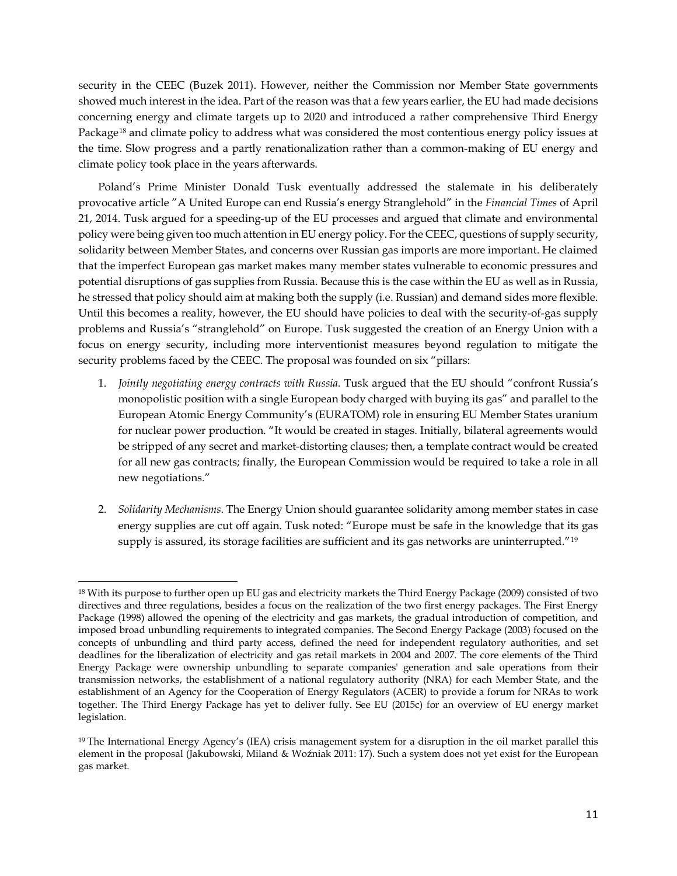security in the CEEC (Buzek 2011). However, neither the Commission nor Member State governments showed much interest in the idea. Part of the reason was that a few years earlier, the EU had made decisions concerning energy and climate targets up to 2020 and introduced a rather comprehensive Third Energy Package[18](#page-10-0) and climate policy to address what was considered the most contentious energy policy issues at the time. Slow progress and a partly renationalization rather than a common-making of EU energy and climate policy took place in the years afterwards.

Poland's Prime Minister Donald Tusk eventually addressed the stalemate in his deliberately provocative article "A United Europe can end Russia's energy Stranglehold" in the *Financial Times* of April 21, 2014. Tusk argued for a speeding-up of the EU processes and argued that climate and environmental policy were being given too much attention in EU energy policy. For the CEEC, questions of supply security, solidarity between Member States, and concerns over Russian gas imports are more important. He claimed that the imperfect European gas market makes many member states vulnerable to economic pressures and potential disruptions of gas supplies from Russia. Because this is the case within the EU as well as in Russia, he stressed that policy should aim at making both the supply (i.e. Russian) and demand sides more flexible. Until this becomes a reality, however, the EU should have policies to deal with the security-of-gas supply problems and Russia's "stranglehold" on Europe. Tusk suggested the creation of an Energy Union with a focus on energy security, including more interventionist measures beyond regulation to mitigate the security problems faced by the CEEC. The proposal was founded on six "pillars:

- 1. *Jointly negotiating energy contracts with Russia.* Tusk argued that the EU should "confront Russia's monopolistic position with a single European body charged with buying its gas" and parallel to the European Atomic Energy Community's (EURATOM) role in ensuring EU Member States uranium for nuclear power production. "It would be created in stages. Initially, bilateral agreements would be stripped of any secret and market-distorting clauses; then, a template contract would be created for all new gas contracts; finally, the European Commission would be required to take a role in all new negotiations."
- 2. *Solidarity Mechanisms*. The Energy Union should guarantee solidarity among member states in case energy supplies are cut off again. Tusk noted: "Europe must be safe in the knowledge that its gas supply is assured, its storage facilities are sufficient and its gas networks are uninterrupted."<sup>[19](#page-10-1)</sup>

<span id="page-10-0"></span> $\overline{a}$ <sup>18</sup> With its purpose to further open up EU gas and electricity markets the Third Energy Package (2009) consisted of two directives and three regulations, besides a focus on the realization of the two first energy packages. The First Energy Package (1998) allowed the opening of the electricity and gas markets, the gradual introduction of competition, and imposed broad unbundling requirements to integrated companies. The Second Energy Package (2003) focused on the concepts of unbundling and third party access, defined the need for independent regulatory authorities, and set deadlines for the liberalization of electricity and gas retail markets in 2004 and 2007. The core elements of the Third Energy Package were ownership unbundling to separate companies' generation and sale operations from their transmission networks, the establishment of a national regulatory authority (NRA) for each Member State, and the establishment of an Agency for the Cooperation of Energy Regulators (ACER) to provide a forum for NRAs to work together. The Third Energy Package has yet to deliver fully. See EU (2015c) for an overview of EU energy market legislation.

<span id="page-10-1"></span><sup>19</sup> The International Energy Agency's (IEA) crisis management system for a disruption in the oil market parallel this element in the proposal (Jakubowski, Miland & Woźniak 2011: 17). Such a system does not yet exist for the European gas market.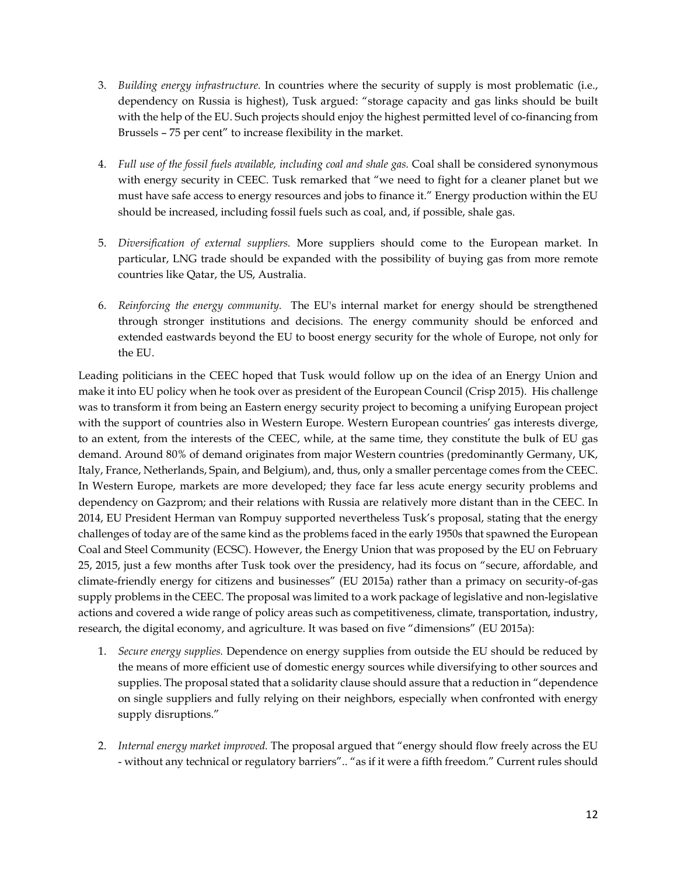- 3. *Building energy infrastructure.* In countries where the security of supply is most problematic (i.e., dependency on Russia is highest), Tusk argued: "storage capacity and gas links should be built with the help of the EU. Such projects should enjoy the highest permitted level of co-financing from Brussels – 75 per cent" to increase flexibility in the market.
- 4. *Full use of the fossil fuels available, including coal and shale gas.* Coal shall be considered synonymous with energy security in CEEC. Tusk remarked that "we need to fight for a cleaner planet but we must have safe access to energy resources and jobs to finance it." Energy production within the EU should be increased, including fossil fuels such as coal, and, if possible, shale gas.
- 5. *Diversification of external suppliers.* More suppliers should come to the European market. In particular, LNG trade should be expanded with the possibility of buying gas from more remote countries like Qatar, the US, Australia.
- 6. *Reinforcing the energy community.* The EU's internal market for energy should be strengthened through stronger institutions and decisions. The energy community should be enforced and extended eastwards beyond the EU to boost energy security for the whole of Europe, not only for the EU.

Leading politicians in the CEEC hoped that Tusk would follow up on the idea of an Energy Union and make it into EU policy when he took over as president of the European Council (Crisp 2015). His challenge was to transform it from being an Eastern energy security project to becoming a unifying European project with the support of countries also in Western Europe. Western European countries' gas interests diverge, to an extent, from the interests of the CEEC, while, at the same time, they constitute the bulk of EU gas demand. Around 80% of demand originates from major Western countries (predominantly Germany, UK, Italy, France, Netherlands, Spain, and Belgium), and, thus, only a smaller percentage comes from the CEEC. In Western Europe, markets are more developed; they face far less acute energy security problems and dependency on Gazprom; and their relations with Russia are relatively more distant than in the CEEC. In 2014, EU President Herman van Rompuy supported nevertheless Tusk's proposal, stating that the energy challenges of today are of the same kind as the problems faced in the early 1950s that spawned the European Coal and Steel Community (ECSC). However, the Energy Union that was proposed by the EU on February 25, 2015, just a few months after Tusk took over the presidency, had its focus on "secure, affordable, and climate-friendly energy for citizens and businesses" (EU 2015a) rather than a primacy on security-of-gas supply problems in the CEEC. The proposal was limited to a work package of legislative and non-legislative actions and covered a wide range of policy areas such as competitiveness, climate, transportation, industry, research, the digital economy, and agriculture. It was based on five "dimensions" (EU 2015a):

- 1. *Secure energy supplies.* Dependence on energy supplies from outside the EU should be reduced by the means of more efficient use of domestic energy sources while diversifying to other sources and supplies. The proposal stated that a solidarity clause should assure that a reduction in "dependence on single suppliers and fully relying on their neighbors, especially when confronted with energy supply disruptions."
- 2. *Internal energy market improved.* The proposal argued that "energy should flow freely across the EU - without any technical or regulatory barriers".. "as if it were a fifth freedom." Current rules should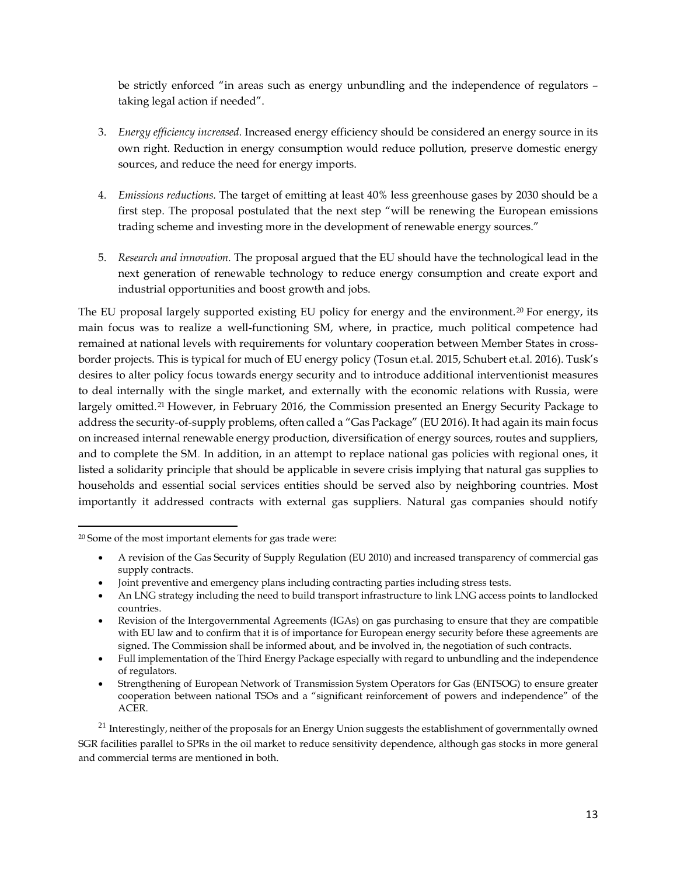be strictly enforced "in areas such as energy unbundling and the independence of regulators – taking legal action if needed".

- 3. *Energy efficiency increased.* Increased energy efficiency should be considered an energy source in its own right. Reduction in energy consumption would reduce pollution, preserve domestic energy sources, and reduce the need for energy imports.
- 4. *Emissions reductions.* The target of emitting at least 40% less greenhouse gases by 2030 should be a first step. The proposal postulated that the next step "will be renewing the European emissions trading scheme and investing more in the development of renewable energy sources."
- 5. *Research and innovation.* The proposal argued that the EU should have the technological lead in the next generation of renewable technology to reduce energy consumption and create export and industrial opportunities and boost growth and jobs.

The EU proposal largely supported existing EU policy for energy and the environment.[20](#page-12-0) For energy, its main focus was to realize a well-functioning SM, where, in practice, much political competence had remained at national levels with requirements for voluntary cooperation between Member States in crossborder projects. This is typical for much of EU energy policy (Tosun et.al. 2015, Schubert et.al. 2016). Tusk's desires to alter policy focus towards energy security and to introduce additional interventionist measures to deal internally with the single market, and externally with the economic relations with Russia, were largely omitted.[21](#page-12-1) However, in February 2016, the Commission presented an Energy Security Package to address the security-of-supply problems, often called a "Gas Package" (EU 2016). It had again its main focus on increased internal renewable energy production, diversification of energy sources, routes and suppliers, and to complete the SM. In addition, in an attempt to replace national gas policies with regional ones, it listed a solidarity principle that should be applicable in severe crisis implying that natural gas supplies to households and essential social services entities should be served also by neighboring countries. Most importantly it addressed contracts with external gas suppliers. Natural gas companies should notify

 $\overline{a}$ 

- A revision of the Gas Security of Supply Regulation (EU 2010) and increased transparency of commercial gas supply contracts.
- Joint preventive and emergency plans including contracting parties including stress tests.
- An LNG strategy including the need to build transport infrastructure to link LNG access points to landlocked countries.
- Revision of the Intergovernmental Agreements (IGAs) on gas purchasing to ensure that they are compatible with EU law and to confirm that it is of importance for European energy security before these agreements are signed. The Commission shall be informed about, and be involved in, the negotiation of such contracts.

<span id="page-12-1"></span> $21$  Interestingly, neither of the proposals for an Energy Union suggests the establishment of governmentally owned SGR facilities parallel to SPRs in the oil market to reduce sensitivity dependence, although gas stocks in more general and commercial terms are mentioned in both.

<span id="page-12-0"></span><sup>20</sup> Some of the most important elements for gas trade were:

<sup>•</sup> Full implementation of the Third Energy Package especially with regard to unbundling and the independence of regulators.

<sup>•</sup> Strengthening of European Network of Transmission System Operators for Gas (ENTSOG) to ensure greater cooperation between national TSOs and a "significant reinforcement of powers and independence" of the ACER.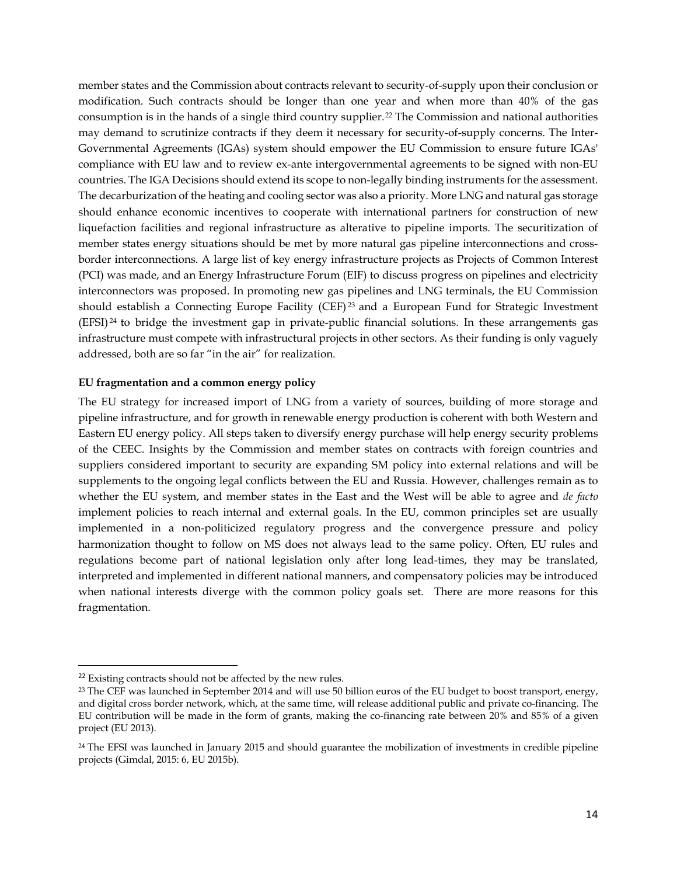member states and the Commission about contracts relevant to security-of-supply upon their conclusion or modification. Such contracts should be longer than one year and when more than 40% of the gas consumption is in the hands of a single third country supplier.[22](#page-13-0) The Commission and national authorities may demand to scrutinize contracts if they deem it necessary for security-of-supply concerns. The Inter-Governmental Agreements (IGAs) system should empower the EU Commission to ensure future IGAs' compliance with EU law and to review ex-ante intergovernmental agreements to be signed with non-EU countries. The IGA Decisions should extend its scope to non-legally binding instruments for the assessment. The decarburization of the heating and cooling sector was also a priority. More LNG and natural gas storage should enhance economic incentives to cooperate with international partners for construction of new liquefaction facilities and regional infrastructure as alterative to pipeline imports. The securitization of member states energy situations should be met by more natural gas pipeline interconnections and crossborder interconnections. A large list of key energy infrastructure projects as Projects of Common Interest (PCI) was made, and an Energy Infrastructure Forum (EIF) to discuss progress on pipelines and electricity interconnectors was proposed. In promoting new gas pipelines and LNG terminals, the EU Commission should establish a Connecting Europe Facility (CEF)<sup>[23](#page-13-1)</sup> and a European Fund for Strategic Investment (EFSI) [24](#page-13-2) to bridge the investment gap in private-public financial solutions. In these arrangements gas infrastructure must compete with infrastructural projects in other sectors. As their funding is only vaguely addressed, both are so far "in the air" for realization.

# **EU fragmentation and a common energy policy**

The EU strategy for increased import of LNG from a variety of sources, building of more storage and pipeline infrastructure, and for growth in renewable energy production is coherent with both Western and Eastern EU energy policy. All steps taken to diversify energy purchase will help energy security problems of the CEEC. Insights by the Commission and member states on contracts with foreign countries and suppliers considered important to security are expanding SM policy into external relations and will be supplements to the ongoing legal conflicts between the EU and Russia. However, challenges remain as to whether the EU system, and member states in the East and the West will be able to agree and *de facto* implement policies to reach internal and external goals. In the EU, common principles set are usually implemented in a non-politicized regulatory progress and the convergence pressure and policy harmonization thought to follow on MS does not always lead to the same policy. Often, EU rules and regulations become part of national legislation only after long lead-times, they may be translated, interpreted and implemented in different national manners, and compensatory policies may be introduced when national interests diverge with the common policy goals set. There are more reasons for this fragmentation.

<span id="page-13-0"></span><sup>&</sup>lt;sup>22</sup> Existing contracts should not be affected by the new rules.

<span id="page-13-1"></span><sup>&</sup>lt;sup>23</sup> The CEF was launched in September 2014 and will use 50 billion euros of the EU budget to boost transport, energy, and digital cross border network, which, at the same time, will release additional public and private co-financing. The EU contribution will be made in the form of grants, making the co-financing rate between 20% and 85% of a given project (EU 2013).

<span id="page-13-2"></span><sup>&</sup>lt;sup>24</sup> The EFSI was launched in January 2015 and should guarantee the mobilization of investments in credible pipeline projects (Gimdal, 2015: 6, EU 2015b).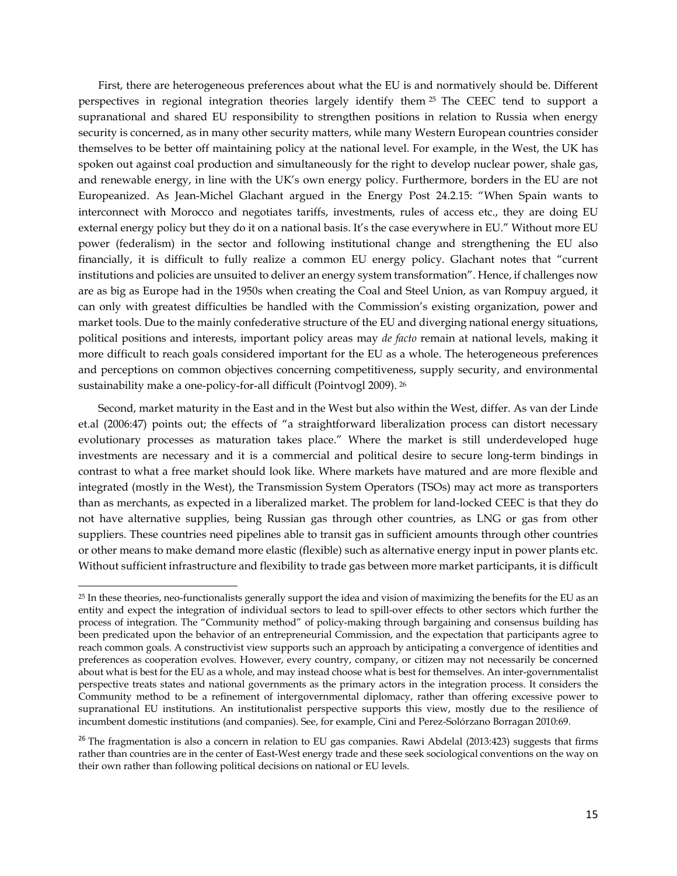First, there are heterogeneous preferences about what the EU is and normatively should be. Different perspectives in regional integration theories largely identify them [25](#page-14-0) The CEEC tend to support a supranational and shared EU responsibility to strengthen positions in relation to Russia when energy security is concerned, as in many other security matters, while many Western European countries consider themselves to be better off maintaining policy at the national level. For example, in the West, the UK has spoken out against coal production and simultaneously for the right to develop nuclear power, shale gas, and renewable energy, in line with the UK's own energy policy. Furthermore, borders in the EU are not Europeanized. As Jean-Michel Glachant argued in the Energy Post 24.2.15: "When Spain wants to interconnect with Morocco and negotiates tariffs, investments, rules of access etc., they are doing EU external energy policy but they do it on a national basis. It's the case everywhere in EU." Without more EU power (federalism) in the sector and following institutional change and strengthening the EU also financially, it is difficult to fully realize a common EU energy policy. Glachant notes that "current institutions and policies are unsuited to deliver an energy system transformation". Hence, if challenges now are as big as Europe had in the 1950s when creating the Coal and Steel Union, as van Rompuy argued, it can only with greatest difficulties be handled with the Commission's existing organization, power and market tools. Due to the mainly confederative structure of the EU and diverging national energy situations, political positions and interests, important policy areas may *de facto* remain at national levels, making it more difficult to reach goals considered important for the EU as a whole. The heterogeneous preferences and perceptions on common objectives concerning competitiveness, supply security, and environmental sustainability make a one-policy-for-all difficult (Pointvogl 2009). [26](#page-14-1)

Second, market maturity in the East and in the West but also within the West, differ. As van der Linde et.al (2006:47) points out; the effects of "a straightforward liberalization process can distort necessary evolutionary processes as maturation takes place." Where the market is still underdeveloped huge investments are necessary and it is a commercial and political desire to secure long-term bindings in contrast to what a free market should look like. Where markets have matured and are more flexible and integrated (mostly in the West), the Transmission System Operators (TSOs) may act more as transporters than as merchants, as expected in a liberalized market. The problem for land-locked CEEC is that they do not have alternative supplies, being Russian gas through other countries, as LNG or gas from other suppliers. These countries need pipelines able to transit gas in sufficient amounts through other countries or other means to make demand more elastic (flexible) such as alternative energy input in power plants etc. Without sufficient infrastructure and flexibility to trade gas between more market participants, it is difficult

 $\ddot{\phantom{a}}$ 

<span id="page-14-0"></span><sup>25</sup> In these theories, neo-functionalists generally support the idea and vision of maximizing the benefits for the EU as an entity and expect the integration of individual sectors to lead to spill-over effects to other sectors which further the process of integration. The "Community method" of policy-making through bargaining and consensus building has been predicated upon the behavior of an entrepreneurial Commission, and the expectation that participants agree to reach common goals. A constructivist view supports such an approach by anticipating a convergence of identities and preferences as cooperation evolves. However, every country, company, or citizen may not necessarily be concerned about what is best for the EU as a whole, and may instead choose what is best for themselves. An inter-governmentalist perspective treats states and national governments as the primary actors in the integration process. It considers the Community method to be a refinement of intergovernmental diplomacy, rather than offering excessive power to supranational EU institutions. An institutionalist perspective supports this view, mostly due to the resilience of incumbent domestic institutions (and companies). See, for example, Cini and Perez-Solórzano Borragan 2010:69.

<span id="page-14-1"></span> $26$  The fragmentation is also a concern in relation to EU gas companies. Rawi Abdelal (2013:423) suggests that firms rather than countries are in the center of East-West energy trade and these seek sociological conventions on the way on their own rather than following political decisions on national or EU levels.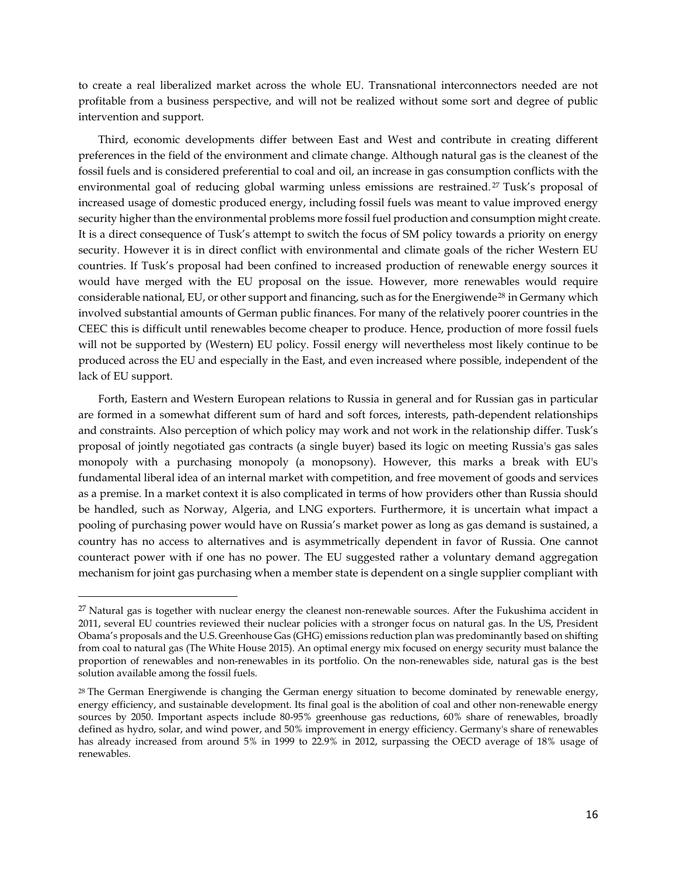to create a real liberalized market across the whole EU. Transnational interconnectors needed are not profitable from a business perspective, and will not be realized without some sort and degree of public intervention and support.

Third, economic developments differ between East and West and contribute in creating different preferences in the field of the environment and climate change. Although natural gas is the cleanest of the fossil fuels and is considered preferential to coal and oil, an increase in gas consumption conflicts with the environmental goal of reducing global warming unless emissions are restrained.<sup>[27](#page-15-0)</sup> Tusk's proposal of increased usage of domestic produced energy, including fossil fuels was meant to value improved energy security higher than the environmental problems more fossil fuel production and consumption might create. It is a direct consequence of Tusk's attempt to switch the focus of SM policy towards a priority on energy security. However it is in direct conflict with environmental and climate goals of the richer Western EU countries. If Tusk's proposal had been confined to increased production of renewable energy sources it would have merged with the EU proposal on the issue. However, more renewables would require considerable national, EU, or other support and financing, such as for the Energiwende<sup>[28](#page-15-1)</sup> in Germany which involved substantial amounts of German public finances. For many of the relatively poorer countries in the CEEC this is difficult until renewables become cheaper to produce. Hence, production of more fossil fuels will not be supported by (Western) EU policy. Fossil energy will nevertheless most likely continue to be produced across the EU and especially in the East, and even increased where possible, independent of the lack of EU support.

Forth, Eastern and Western European relations to Russia in general and for Russian gas in particular are formed in a somewhat different sum of hard and soft forces, interests, path-dependent relationships and constraints. Also perception of which policy may work and not work in the relationship differ. Tusk's proposal of jointly negotiated gas contracts (a single buyer) based its logic on meeting Russia's gas sales monopoly with a purchasing monopoly (a monopsony). However, this marks a break with EU's fundamental liberal idea of an internal market with competition, and free movement of goods and services as a premise. In a market context it is also complicated in terms of how providers other than Russia should be handled, such as Norway, Algeria, and LNG exporters. Furthermore, it is uncertain what impact a pooling of purchasing power would have on Russia's market power as long as gas demand is sustained, a country has no access to alternatives and is asymmetrically dependent in favor of Russia. One cannot counteract power with if one has no power. The EU suggested rather a voluntary demand aggregation mechanism for joint gas purchasing when a member state is dependent on a single supplier compliant with

<span id="page-15-0"></span> $27$  Natural gas is together with nuclear energy the cleanest non-renewable sources. After the Fukushima accident in 2011, several EU countries reviewed their nuclear policies with a stronger focus on natural gas. In the US, President Obama's proposals and the U.S. Greenhouse Gas (GHG) emissions reduction plan was predominantly based on shifting from coal to natural gas (The White House 2015). An optimal energy mix focused on energy security must balance the proportion of renewables and non-renewables in its portfolio. On the non-renewables side, natural gas is the best solution available among the fossil fuels.

<span id="page-15-1"></span> $28$  The German Energiwende is changing the German energy situation to become dominated by renewable energy, energy efficiency, and sustainable development. Its final goal is the abolition of coal and other non-renewable energy sources by 2050. Important aspects include 80-95% greenhouse gas reductions, 60% share of renewables, broadly defined as hydro, solar, and wind power, and 50% improvement in energy efficiency. Germany's share of renewables has already increased from around 5% in 1999 to 22.9% in 2012, surpassing the OECD average of 18% usage of renewables.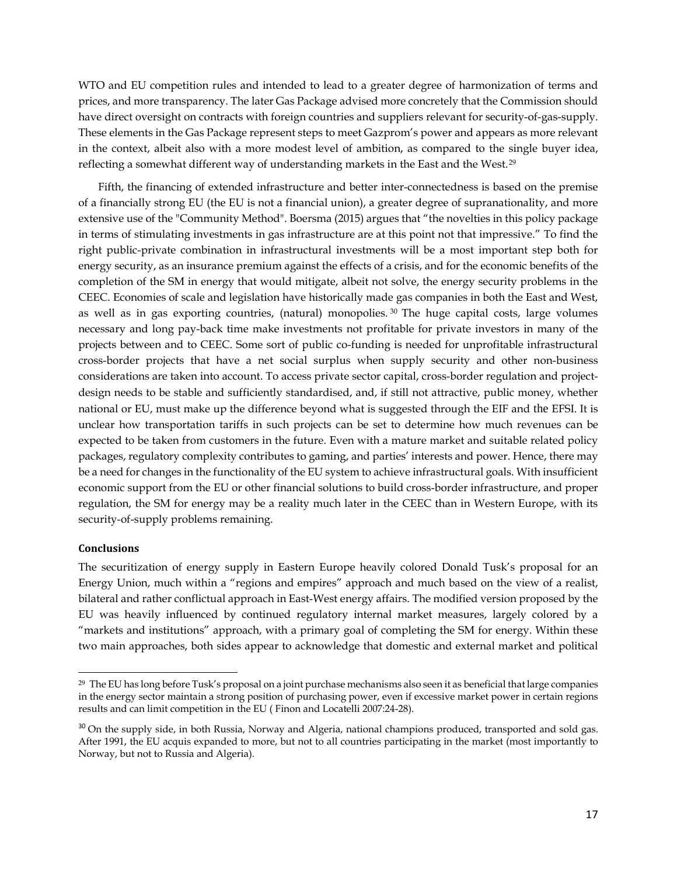WTO and EU competition rules and intended to lead to a greater degree of harmonization of terms and prices, and more transparency. The later Gas Package advised more concretely that the Commission should have direct oversight on contracts with foreign countries and suppliers relevant for security-of-gas-supply. These elements in the Gas Package represent steps to meet Gazprom's power and appears as more relevant in the context, albeit also with a more modest level of ambition, as compared to the single buyer idea, reflecting a somewhat different way of understanding markets in the East and the West.[29](#page-16-0)

Fifth, the financing of extended infrastructure and better inter-connectedness is based on the premise of a financially strong EU (the EU is not a financial union), a greater degree of supranationality, and more extensive use of the "Community Method". Boersma (2015) argues that "the novelties in this policy package in terms of stimulating investments in gas infrastructure are at this point not that impressive." To find the right public-private combination in infrastructural investments will be a most important step both for energy security, as an insurance premium against the effects of a crisis, and for the economic benefits of the completion of the SM in energy that would mitigate, albeit not solve, the energy security problems in the CEEC. Economies of scale and legislation have historically made gas companies in both the East and West, as well as in gas exporting countries, (natural) monopolies.  $30$  The huge capital costs, large volumes necessary and long pay-back time make investments not profitable for private investors in many of the projects between and to CEEC. Some sort of public co-funding is needed for unprofitable infrastructural cross-border projects that have a net social surplus when supply security and other non-business considerations are taken into account. To access private sector capital, cross-border regulation and projectdesign needs to be stable and sufficiently standardised, and, if still not attractive, public money, whether national or EU, must make up the difference beyond what is suggested through the EIF and the EFSI. It is unclear how transportation tariffs in such projects can be set to determine how much revenues can be expected to be taken from customers in the future. Even with a mature market and suitable related policy packages, regulatory complexity contributes to gaming, and parties' interests and power. Hence, there may be a need for changes in the functionality of the EU system to achieve infrastructural goals. With insufficient economic support from the EU or other financial solutions to build cross-border infrastructure, and proper regulation, the SM for energy may be a reality much later in the CEEC than in Western Europe, with its security-of-supply problems remaining.

# **Conclusions**

 $\overline{a}$ 

The securitization of energy supply in Eastern Europe heavily colored Donald Tusk's proposal for an Energy Union, much within a "regions and empires" approach and much based on the view of a realist, bilateral and rather conflictual approach in East-West energy affairs. The modified version proposed by the EU was heavily influenced by continued regulatory internal market measures, largely colored by a "markets and institutions" approach, with a primary goal of completing the SM for energy. Within these two main approaches, both sides appear to acknowledge that domestic and external market and political

<span id="page-16-0"></span><sup>29</sup> The EU has long before Tusk's proposal on a joint purchase mechanisms also seen it as beneficial that large companies in the energy sector maintain a strong position of purchasing power, even if excessive market power in certain regions results and can limit competition in the EU ( Finon and Locatelli 2007:24-28).

<span id="page-16-1"></span><sup>&</sup>lt;sup>30</sup> On the supply side, in both Russia, Norway and Algeria, national champions produced, transported and sold gas. After 1991, the EU acquis expanded to more, but not to all countries participating in the market (most importantly to Norway, but not to Russia and Algeria).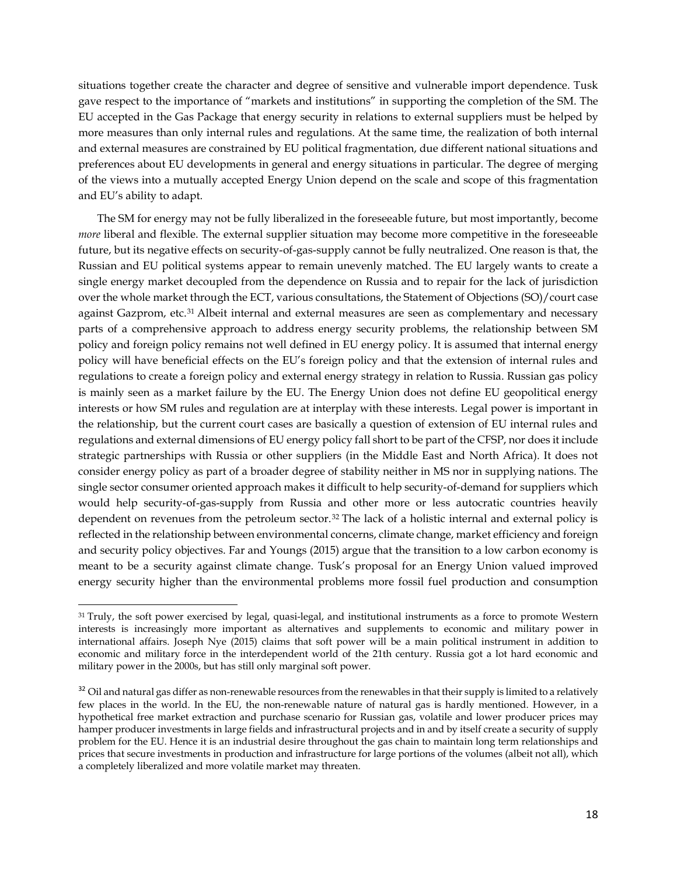situations together create the character and degree of sensitive and vulnerable import dependence. Tusk gave respect to the importance of "markets and institutions" in supporting the completion of the SM. The EU accepted in the Gas Package that energy security in relations to external suppliers must be helped by more measures than only internal rules and regulations. At the same time, the realization of both internal and external measures are constrained by EU political fragmentation, due different national situations and preferences about EU developments in general and energy situations in particular. The degree of merging of the views into a mutually accepted Energy Union depend on the scale and scope of this fragmentation and EU's ability to adapt.

The SM for energy may not be fully liberalized in the foreseeable future, but most importantly, become *more* liberal and flexible. The external supplier situation may become more competitive in the foreseeable future, but its negative effects on security-of-gas-supply cannot be fully neutralized. One reason is that, the Russian and EU political systems appear to remain unevenly matched. The EU largely wants to create a single energy market decoupled from the dependence on Russia and to repair for the lack of jurisdiction over the whole market through the ECT, various consultations, the Statement of Objections (SO)/court case against Gazprom, etc.<sup>[31](#page-17-0)</sup> Albeit internal and external measures are seen as complementary and necessary parts of a comprehensive approach to address energy security problems, the relationship between SM policy and foreign policy remains not well defined in EU energy policy. It is assumed that internal energy policy will have beneficial effects on the EU's foreign policy and that the extension of internal rules and regulations to create a foreign policy and external energy strategy in relation to Russia. Russian gas policy is mainly seen as a market failure by the EU. The Energy Union does not define EU geopolitical energy interests or how SM rules and regulation are at interplay with these interests. Legal power is important in the relationship, but the current court cases are basically a question of extension of EU internal rules and regulations and external dimensions of EU energy policy fall short to be part of the CFSP, nor does it include strategic partnerships with Russia or other suppliers (in the Middle East and North Africa). It does not consider energy policy as part of a broader degree of stability neither in MS nor in supplying nations. The single sector consumer oriented approach makes it difficult to help security-of-demand for suppliers which would help security-of-gas-supply from Russia and other more or less autocratic countries heavily dependent on revenues from the petroleum sector.<sup>[32](#page-17-1)</sup> The lack of a holistic internal and external policy is reflected in the relationship between environmental concerns, climate change, market efficiency and foreign and security policy objectives. Far and Youngs (2015) argue that the transition to a low carbon economy is meant to be a security against climate change. Tusk's proposal for an Energy Union valued improved energy security higher than the environmental problems more fossil fuel production and consumption

<span id="page-17-0"></span><sup>&</sup>lt;sup>31</sup> Truly, the soft power exercised by legal, quasi-legal, and institutional instruments as a force to promote Western interests is increasingly more important as alternatives and supplements to economic and military power in international affairs. Joseph Nye (2015) claims that soft power will be a main political instrument in addition to economic and military force in the interdependent world of the 21th century. Russia got a lot hard economic and military power in the 2000s, but has still only marginal soft power.

<span id="page-17-1"></span> $32$  Oil and natural gas differ as non-renewable resources from the renewables in that their supply is limited to a relatively few places in the world. In the EU, the non-renewable nature of natural gas is hardly mentioned. However, in a hypothetical free market extraction and purchase scenario for Russian gas, volatile and lower producer prices may hamper producer investments in large fields and infrastructural projects and in and by itself create a security of supply problem for the EU. Hence it is an industrial desire throughout the gas chain to maintain long term relationships and prices that secure investments in production and infrastructure for large portions of the volumes (albeit not all), which a completely liberalized and more volatile market may threaten.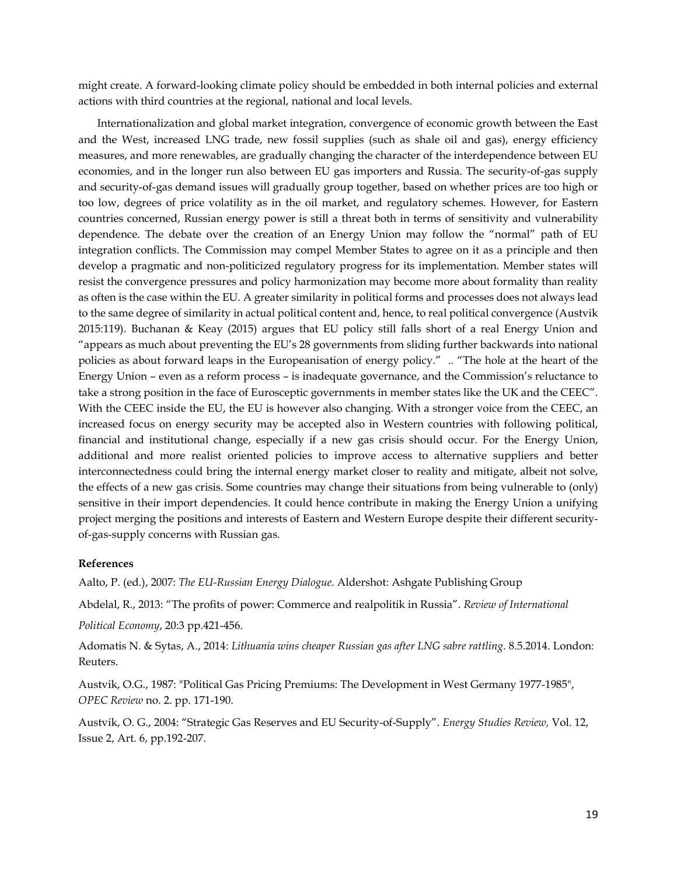might create. A forward-looking climate policy should be embedded in both internal policies and external actions with third countries at the regional, national and local levels.

Internationalization and global market integration, convergence of economic growth between the East and the West, increased LNG trade, new fossil supplies (such as shale oil and gas), energy efficiency measures, and more renewables, are gradually changing the character of the interdependence between EU economies, and in the longer run also between EU gas importers and Russia. The security-of-gas supply and security-of-gas demand issues will gradually group together, based on whether prices are too high or too low, degrees of price volatility as in the oil market, and regulatory schemes. However, for Eastern countries concerned, Russian energy power is still a threat both in terms of sensitivity and vulnerability dependence. The debate over the creation of an Energy Union may follow the "normal" path of EU integration conflicts. The Commission may compel Member States to agree on it as a principle and then develop a pragmatic and non-politicized regulatory progress for its implementation. Member states will resist the convergence pressures and policy harmonization may become more about formality than reality as often is the case within the EU. A greater similarity in political forms and processes does not always lead to the same degree of similarity in actual political content and, hence, to real political convergence (Austvik 2015:119). Buchanan & Keay (2015) argues that EU policy still falls short of a real Energy Union and "appears as much about preventing the EU's 28 governments from sliding further backwards into national policies as about forward leaps in the Europeanisation of energy policy." .. "The hole at the heart of the Energy Union – even as a reform process – is inadequate governance, and the Commission's reluctance to take a strong position in the face of Eurosceptic governments in member states like the UK and the CEEC". With the CEEC inside the EU, the EU is however also changing. With a stronger voice from the CEEC, an increased focus on energy security may be accepted also in Western countries with following political, financial and institutional change, especially if a new gas crisis should occur. For the Energy Union, additional and more realist oriented policies to improve access to alternative suppliers and better interconnectedness could bring the internal energy market closer to reality and mitigate, albeit not solve, the effects of a new gas crisis. Some countries may change their situations from being vulnerable to (only) sensitive in their import dependencies. It could hence contribute in making the Energy Union a unifying project merging the positions and interests of Eastern and Western Europe despite their different securityof-gas-supply concerns with Russian gas.

# **References**

Aalto, P. (ed.), 2007: *The EU-Russian Energy Dialogue*. Aldershot: Ashgate Publishing Group

Abdelal, R., 2013: "The profits of power: Commerce and realpolitik in Russia". *Review of International* 

*Political Economy*, 20:3 pp.421-456.

Adomatis N. & Sytas, A., 2014: *Lithuania wins cheaper Russian gas after LNG sabre rattling*. 8.5.2014. London: Reuters.

Austvik, O.G., 1987: "Political Gas Pricing Premiums: The Development in West Germany 1977-1985", *OPEC Review* no. 2. pp. 171-190.

Austvik, O. G., 2004: "Strategic Gas Reserves and EU Security-of-Supply". *Energy Studies Review,* Vol. 12, Issue 2, Art. 6, pp.192-207.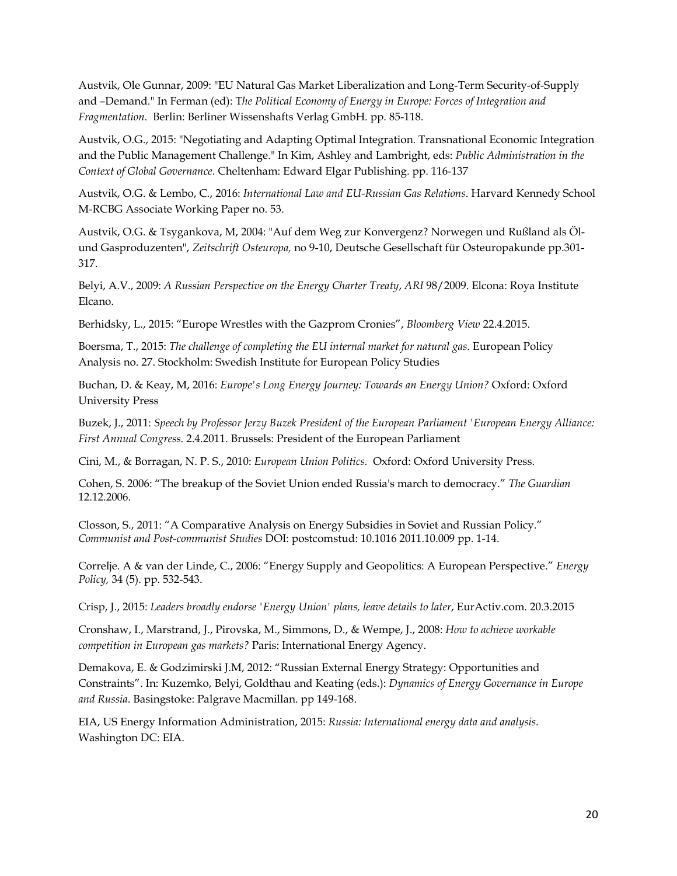Austvik, Ole Gunnar, 2009: "EU Natural Gas Market Liberalization and Long-Term Security-of-Supply and –Demand." In Ferman (ed): T*he Political Economy of Energy in Europe: Forces of Integration and Fragmentation*. Berlin: Berliner Wissenshafts Verlag GmbH. pp. 85-118.

Austvik, O.G., 2015: "Negotiating and Adapting Optimal Integration. Transnational Economic Integration and the Public Management Challenge." In Kim, Ashley and Lambright, eds: *Public Administration in the Context of Global Governance.* Cheltenham: Edward Elgar Publishing. pp. 116-137

Austvik, O.G. & Lembo, C., 2016: *International Law and EU-Russian Gas Relations*. Harvard Kennedy School M-RCBG Associate Working Paper no. 53.

Austvik, O.G. & Tsygankova, M, 2004: "Auf dem Weg zur Konvergenz? Norwegen und Rußland als Ölund Gasproduzenten", *Zeitschrift Osteuropa,* no 9-10, Deutsche Gesellschaft für Osteuropakunde pp.301- 317.

Belyi, A.V., 2009: *A Russian Perspective on the Energy Charter Treaty*, *ARI* 98/2009. Elcona: Roya Institute Elcano.

Berhidsky, L., 2015: "Europe Wrestles with the Gazprom Cronies", *Bloomberg View* 22.4.2015.

Boersma, T., 2015: *The challenge of completing the EU internal market for natural gas*. European Policy Analysis no. 27. Stockholm: Swedish Institute for European Policy Studies

Buchan, D. & Keay, M, 2016: *Europe's Long Energy Journey: Towards an Energy Union?* Oxford: Oxford University Press

Buzek, J., 2011: *Speech by Professor Jerzy Buzek President of the European Parliament 'European Energy Alliance: First Annual Congress*. 2.4.2011. Brussels: President of the European Parliament

Cini, M., & Borragan, N. P. S., 2010: *European Union Politics.* Oxford: Oxford University Press.

Cohen, S. 2006: "The breakup of the Soviet Union ended Russia's march to democracy." *The Guardian* 12.12.2006.

Closson, S., 2011: "A Comparative Analysis on Energy Subsidies in Soviet and Russian Policy." *Communist and Post-communist Studies* DOI: postcomstud: 10.1016 2011.10.009 pp. 1-14.

Correlje. A & van der Linde, C., 2006: "Energy Supply and Geopolitics: A European Perspective." *Energy Policy,* 34 (5). pp. 532-543.

Crisp, J., 2015: *Leaders broadly endorse 'Energy Union' plans, leave details to later*, EurActiv.com. 20.3.2015

Cronshaw, I., Marstrand, J., Pirovska, M., Simmons, D., & Wempe, J., 2008: *How to achieve workable competition in European gas markets?* Paris: International Energy Agency.

Demakova, E. & Godzimirski J.M, 2012: "Russian External Energy Strategy: Opportunities and Constraints". In: Kuzemko, Belyi, Goldthau and Keating (eds.): *Dynamics of Energy Governance in Europe and Russia*. Basingstoke: Palgrave Macmillan. pp 149-168.

EIA, US Energy Information Administration, 2015: *Russia: International energy data and analysis*. Washington DC: EIA.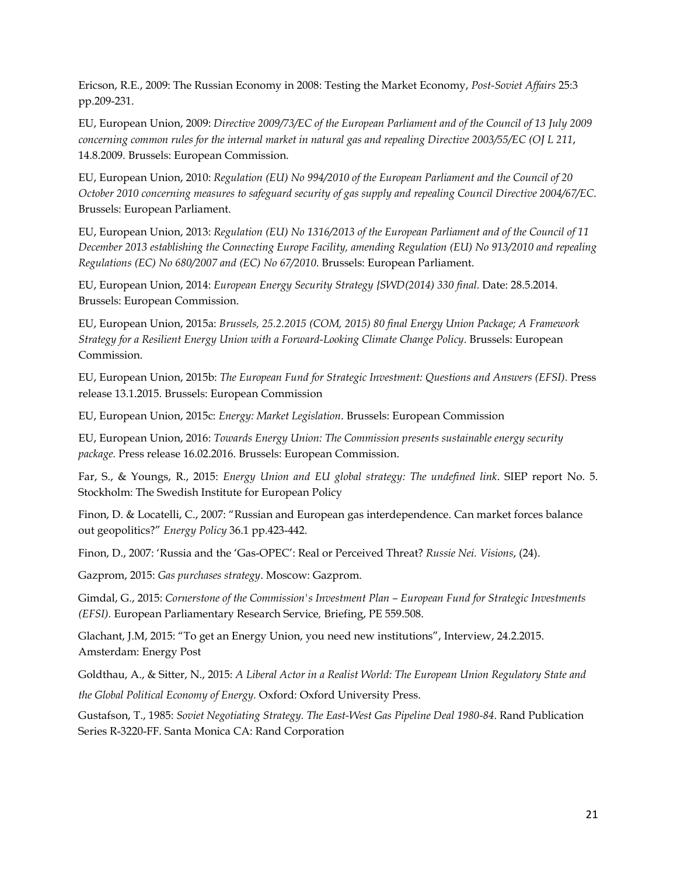Ericson, R.E., 2009: The Russian Economy in 2008: Testing the Market Economy, *Post-Soviet Affairs* 25:3 pp.209-231.

EU, European Union, 2009: *Directive 2009/73/EC of the European Parliament and of the Council of 13 July 2009 concerning common rules for the internal market in natural gas and repealing Directive 2003/55/EC (OJ L 211*, 14.8.2009. Brussels: European Commission.

EU, European Union, 2010: *Regulation (EU) No 994/2010 of the European Parliament and the Council of 20 October 2010 concerning measures to safeguard security of gas supply and repealing Council Directive 2004/67/EC*. Brussels: European Parliament.

EU, European Union, 2013: *Regulation (EU) No 1316/2013 of the European Parliament and of the Council of 11 December 2013 establishing the Connecting Europe Facility, amending Regulation (EU) No 913/2010 and repealing Regulations (EC) No 680/2007 and (EC) No 67/2010*. Brussels: European Parliament.

EU, European Union, 2014: *European Energy Security Strategy {SWD(2014) 330 final.* Date: 28.5.2014. Brussels: European Commission.

EU, European Union, 2015a: *Brussels, 25.2.2015 (COM, 2015) 80 final Energy Union Package; A Framework Strategy for a Resilient Energy Union with a Forward-Looking Climate Change Policy*. Brussels: European Commission.

EU, European Union, 2015b: *The European Fund for Strategic Investment: Questions and Answers (EFSI).* Press release 13.1.2015. Brussels: European Commission

EU, European Union, 2015c: *Energy: Market Legislation*. Brussels: European Commission

EU, European Union, 2016: *Towards Energy Union: The Commission presents sustainable energy security package.* Press release 16.02.2016. Brussels: European Commission.

Far, S., & Youngs, R., 2015: *Energy Union and EU global strategy: The undefined link*. SIEP report No. 5. Stockholm: The Swedish Institute for European Policy

Finon, D. & Locatelli, C., 2007: "Russian and European gas interdependence. Can market forces balance out geopolitics?" *Energy Policy* 36.1 pp.423-442.

Finon, D., 2007: 'Russia and the 'Gas-OPEC': Real or Perceived Threat? *Russie Nei. Visions*, (24).

Gazprom, 2015: *Gas purchases strategy*. Moscow: Gazprom.

Gimdal, G., 2015: *Cornerstone of the Commission's Investment Plan – European Fund for Strategic Investments (EFSI).* European Parliamentary Research Service*,* Briefing, PE 559.508.

Glachant, J.M, 2015: "To get an Energy Union, you need new institutions", Interview, 24.2.2015. Amsterdam: Energy Post

Goldthau, A., & Sitter, N., 2015: *A Liberal Actor in a Realist World: The European Union Regulatory State and* 

*the Global Political Economy of Energy.* Oxford: Oxford University Press.

Gustafson, T., 1985: *Soviet Negotiating Strategy. The East-West Gas Pipeline Deal 1980-84*. Rand Publication Series R-3220-FF. Santa Monica CA: Rand Corporation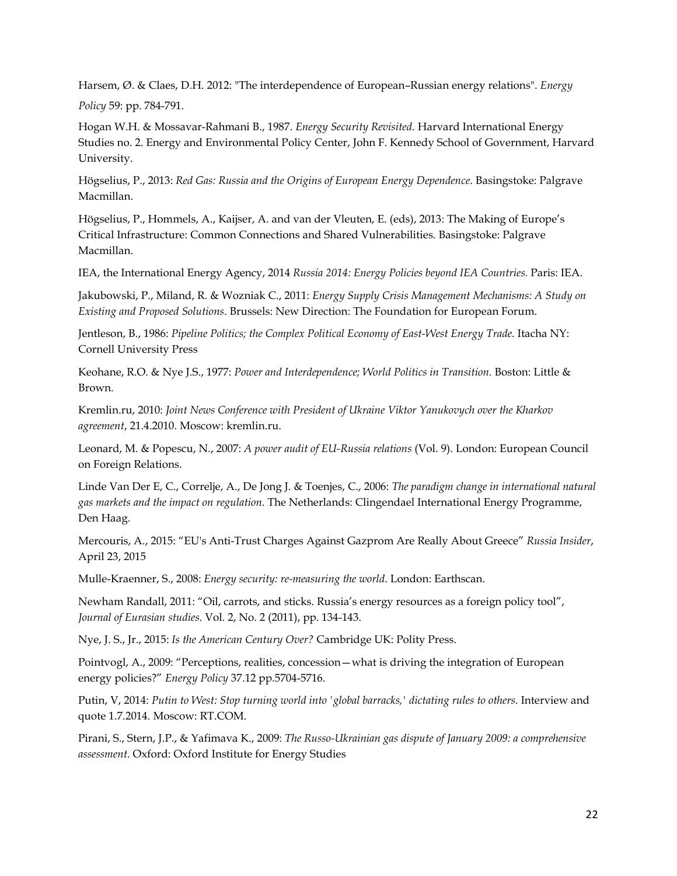Harsem, Ø. & Claes, D.H. 2012: "The interdependence of European–Russian energy relations". *Energy* 

*Policy* 59: pp. 784-791.

Hogan W.H. & Mossavar-Rahmani B., 1987. *Energy Security Revisited.* Harvard International Energy Studies no. 2. Energy and Environmental Policy Center, John F. Kennedy School of Government, Harvard University.

Högselius, P., 2013: *Red Gas: Russia and the Origins of European Energy Dependence*. Basingstoke: Palgrave Macmillan.

Högselius, P., Hommels, A., Kaijser, A. and van der Vleuten, E. (eds), 2013: The Making of Europe's Critical Infrastructure: Common Connections and Shared Vulnerabilities. Basingstoke: Palgrave Macmillan.

IEA, the International Energy Agency, 2014 *Russia 2014: Energy Policies beyond IEA Countries.* Paris: IEA.

Jakubowski, P., Miland, R. & Wozniak C., 2011: *Energy Supply Crisis Management Mechanisms: A Study on Existing and Proposed Solutions*. Brussels: New Direction: The Foundation for European Forum.

Jentleson, B., 1986: *Pipeline Politics; the Complex Political Economy of East-West Energy Trade*. Itacha NY: Cornell University Press

Keohane, R.O. & Nye J.S., 1977: Power and Interdependence; World Politics in Transition. Boston: Little & Brown.

Kremlin.ru, 2010: *Joint News Conference with President of Ukraine Viktor Yanukovych over the Kharkov agreement*, 21.4.2010. Moscow: kremlin.ru.

Leonard, M. & Popescu, N., 2007: *A power audit of EU-Russia relations* (Vol. 9). London: European Council on Foreign Relations.

Linde Van Der E, C., Correlje, A., De Jong J. & Toenjes, C., 2006: *The paradigm change in international natural gas markets and the impact on regulation*. The Netherlands: Clingendael International Energy Programme, Den Haag.

Mercouris, A., 2015: "EU's Anti-Trust Charges Against Gazprom Are Really About Greece" *Russia Insider*, April 23, 2015

Mulle-Kraenner, S., 2008: *Energy security: re-measuring the world*. London: Earthscan.

Newham Randall, 2011: "Oil, carrots, and sticks. Russia's energy resources as a foreign policy tool", *Journal of Eurasian studies*. Vol. 2, No. 2 (2011), pp. 134-143.

Nye, J. S., Jr., 2015: *Is the American Century Over?* Cambridge UK: Polity Press.

Pointvogl, A., 2009: "Perceptions, realities, concession—what is driving the integration of European energy policies?" *Energy Policy* 37.12 pp.5704-5716.

Putin, V, 2014: *Putin to West: Stop turning world into 'global barracks,' dictating rules to others*. Interview and quote 1.7.2014. Moscow: RT.COM.

Pirani, S., Stern, J.P., & Yafimava K., 2009: *The Russo-Ukrainian gas dispute of January 2009: a comprehensive assessment*. Oxford: Oxford Institute for Energy Studies